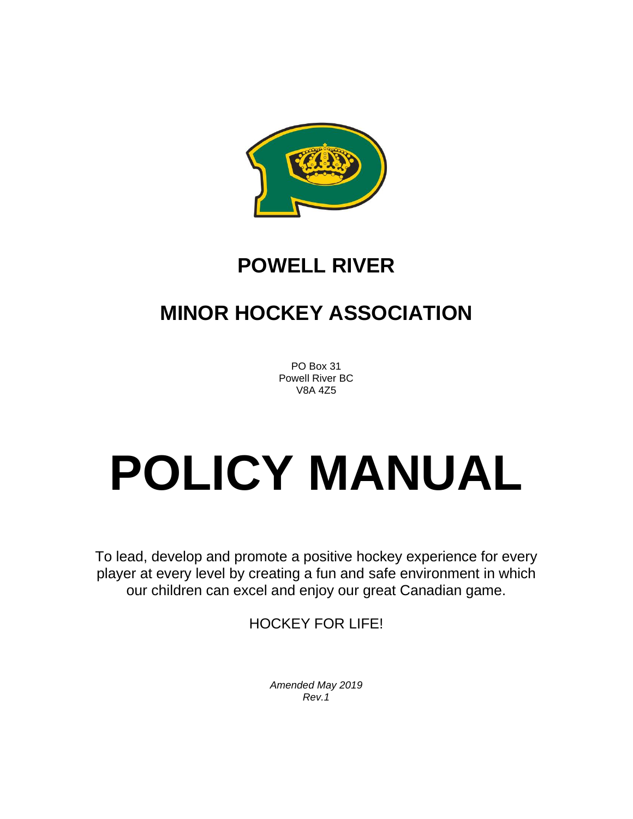

# **POWELL RIVER**

# **MINOR HOCKEY ASSOCIATION**

PO Box 31 Powell River BC V8A 4Z5

# **POLICY MANUAL**

To lead, develop and promote a positive hockey experience for every player at every level by creating a fun and safe environment in which our children can excel and enjoy our great Canadian game.

HOCKEY FOR LIFE!

*Amended May 2019 Rev.1*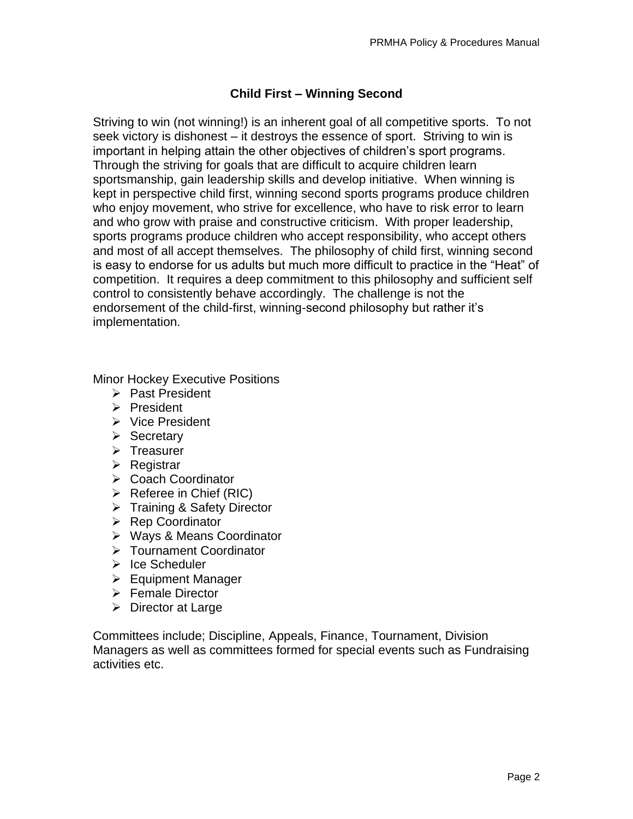# **Child First – Winning Second**

Striving to win (not winning!) is an inherent goal of all competitive sports. To not seek victory is dishonest – it destroys the essence of sport. Striving to win is important in helping attain the other objectives of children's sport programs. Through the striving for goals that are difficult to acquire children learn sportsmanship, gain leadership skills and develop initiative. When winning is kept in perspective child first, winning second sports programs produce children who enjoy movement, who strive for excellence, who have to risk error to learn and who grow with praise and constructive criticism. With proper leadership, sports programs produce children who accept responsibility, who accept others and most of all accept themselves. The philosophy of child first, winning second is easy to endorse for us adults but much more difficult to practice in the "Heat" of competition. It requires a deep commitment to this philosophy and sufficient self control to consistently behave accordingly. The challenge is not the endorsement of the child-first, winning-second philosophy but rather it's implementation.

Minor Hockey Executive Positions

- ➢ Past President
- ➢ President
- ➢ Vice President
- ➢ Secretary
- ➢ Treasurer
- ➢ Registrar
- ➢ Coach Coordinator
- $\triangleright$  Referee in Chief (RIC)
- ➢ Training & Safety Director
- ➢ Rep Coordinator
- ➢ Ways & Means Coordinator
- ➢ Tournament Coordinator
- ➢ Ice Scheduler
- ➢ Equipment Manager
- ➢ Female Director
- ➢ Director at Large

Committees include; Discipline, Appeals, Finance, Tournament, Division Managers as well as committees formed for special events such as Fundraising activities etc.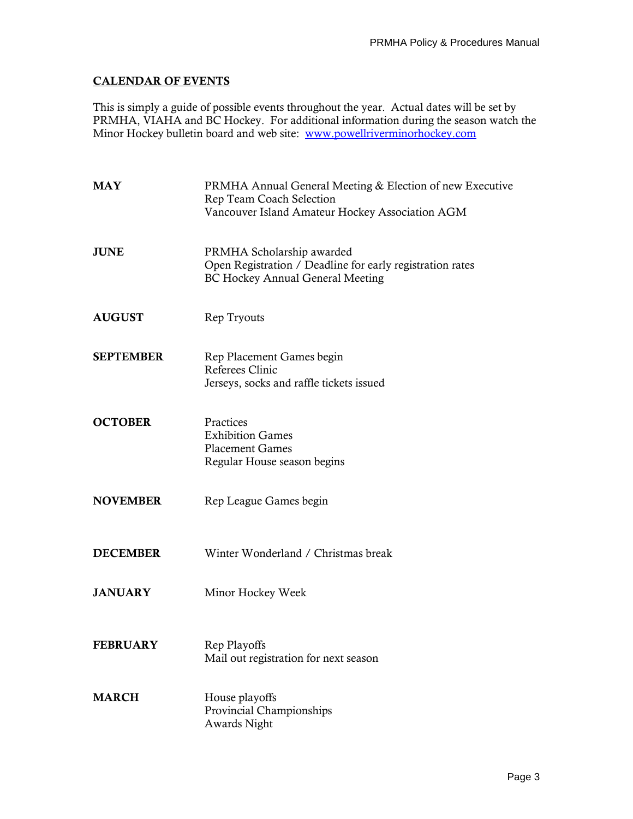# **CALENDAR OF EVENTS**

This is simply a guide of possible events throughout the year. Actual dates will be set by PRMHA, VIAHA and BC Hockey. For additional information during the season watch the Minor Hockey bulletin board and web site: [www.powellriverminorhockey.com](http://www.powellriverminorhockey.com/)

| <b>MAY</b>       | PRMHA Annual General Meeting & Election of new Executive<br>Rep Team Coach Selection<br>Vancouver Island Amateur Hockey Association AGM |
|------------------|-----------------------------------------------------------------------------------------------------------------------------------------|
| <b>JUNE</b>      | PRMHA Scholarship awarded<br>Open Registration / Deadline for early registration rates<br><b>BC Hockey Annual General Meeting</b>       |
| <b>AUGUST</b>    | Rep Tryouts                                                                                                                             |
| <b>SEPTEMBER</b> | Rep Placement Games begin<br><b>Referees Clinic</b><br>Jerseys, socks and raffle tickets issued                                         |
| <b>OCTOBER</b>   | Practices<br><b>Exhibition Games</b><br><b>Placement Games</b><br>Regular House season begins                                           |
| <b>NOVEMBER</b>  | Rep League Games begin                                                                                                                  |
| <b>DECEMBER</b>  | Winter Wonderland / Christmas break                                                                                                     |
| <b>JANUARY</b>   | Minor Hockey Week                                                                                                                       |
| <b>FEBRUARY</b>  | Rep Playoffs<br>Mail out registration for next season                                                                                   |
| <b>MARCH</b>     | House playoffs<br>Provincial Championships<br>Awards Night                                                                              |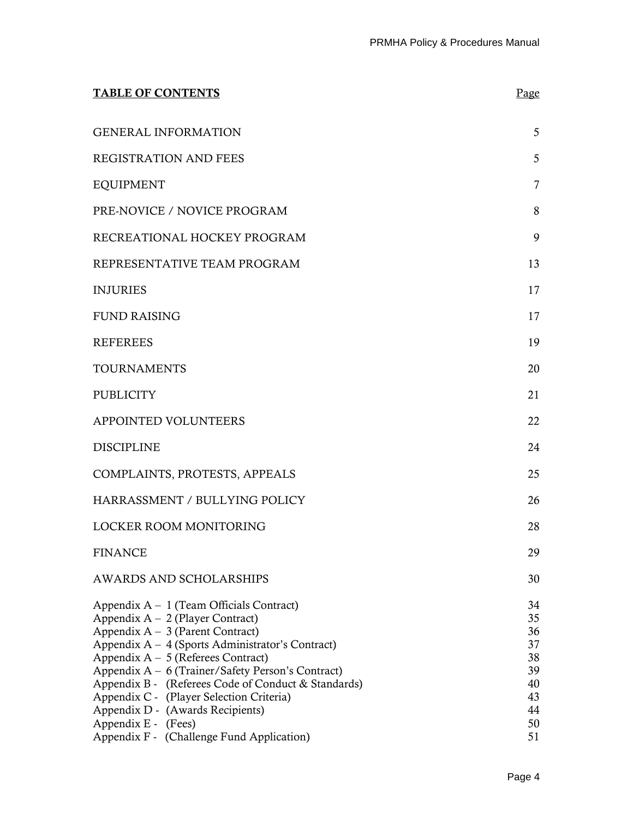| <b>TABLE OF CONTENTS</b>                                                                                                                                                                                                                                                                                                                                                                                                              | Page                                                     |
|---------------------------------------------------------------------------------------------------------------------------------------------------------------------------------------------------------------------------------------------------------------------------------------------------------------------------------------------------------------------------------------------------------------------------------------|----------------------------------------------------------|
| <b>GENERAL INFORMATION</b>                                                                                                                                                                                                                                                                                                                                                                                                            | 5                                                        |
| <b>REGISTRATION AND FEES</b>                                                                                                                                                                                                                                                                                                                                                                                                          | 5                                                        |
| <b>EQUIPMENT</b>                                                                                                                                                                                                                                                                                                                                                                                                                      | 7                                                        |
| PRE-NOVICE / NOVICE PROGRAM                                                                                                                                                                                                                                                                                                                                                                                                           | 8                                                        |
| RECREATIONAL HOCKEY PROGRAM                                                                                                                                                                                                                                                                                                                                                                                                           | 9                                                        |
| REPRESENTATIVE TEAM PROGRAM                                                                                                                                                                                                                                                                                                                                                                                                           | 13                                                       |
| <b>INJURIES</b>                                                                                                                                                                                                                                                                                                                                                                                                                       | 17                                                       |
| <b>FUND RAISING</b>                                                                                                                                                                                                                                                                                                                                                                                                                   | 17                                                       |
| <b>REFEREES</b>                                                                                                                                                                                                                                                                                                                                                                                                                       | 19                                                       |
| <b>TOURNAMENTS</b>                                                                                                                                                                                                                                                                                                                                                                                                                    | 20                                                       |
| <b>PUBLICITY</b>                                                                                                                                                                                                                                                                                                                                                                                                                      | 21                                                       |
| APPOINTED VOLUNTEERS                                                                                                                                                                                                                                                                                                                                                                                                                  | 22                                                       |
| <b>DISCIPLINE</b>                                                                                                                                                                                                                                                                                                                                                                                                                     | 24                                                       |
| COMPLAINTS, PROTESTS, APPEALS                                                                                                                                                                                                                                                                                                                                                                                                         | 25                                                       |
| HARRASSMENT / BULLYING POLICY                                                                                                                                                                                                                                                                                                                                                                                                         | 26                                                       |
| LOCKER ROOM MONITORING                                                                                                                                                                                                                                                                                                                                                                                                                | 28                                                       |
| <b>FINANCE</b>                                                                                                                                                                                                                                                                                                                                                                                                                        | 29                                                       |
| <b>AWARDS AND SCHOLARSHIPS</b>                                                                                                                                                                                                                                                                                                                                                                                                        | 30                                                       |
| Appendix $A - 1$ (Team Officials Contract)<br>Appendix $A - 2$ (Player Contract)<br>Appendix $A - 3$ (Parent Contract)<br>Appendix A – 4 (Sports Administrator's Contract)<br>Appendix $A - 5$ (Referees Contract)<br>Appendix A - 6 (Trainer/Safety Person's Contract)<br>Appendix B - (Referees Code of Conduct & Standards)<br>Appendix C - (Player Selection Criteria)<br>Appendix D - (Awards Recipients)<br>Appendix E - (Fees) | 34<br>35<br>36<br>37<br>38<br>39<br>40<br>43<br>44<br>50 |
| Appendix F - (Challenge Fund Application)                                                                                                                                                                                                                                                                                                                                                                                             | 51                                                       |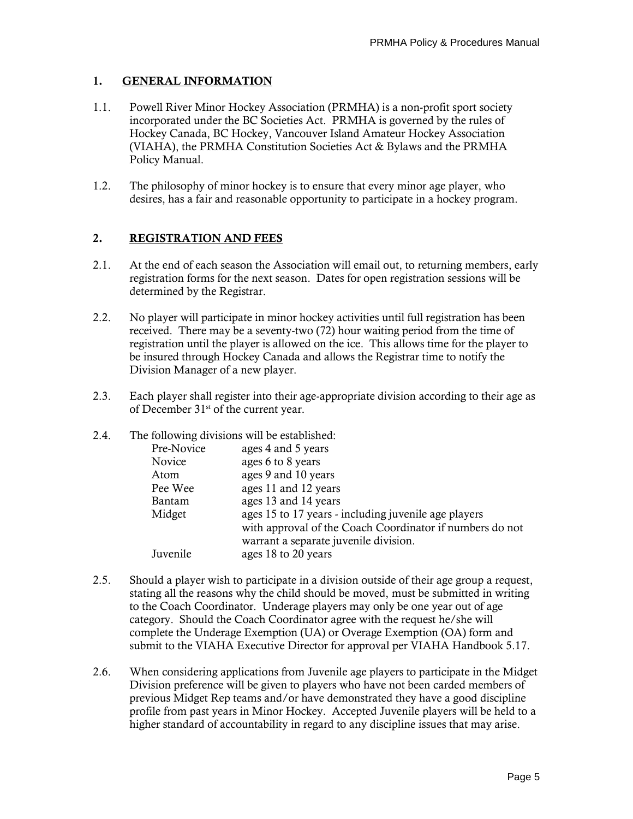# **1. GENERAL INFORMATION**

- 1.1. Powell River Minor Hockey Association (PRMHA) is a non-profit sport society incorporated under the BC Societies Act. PRMHA is governed by the rules of Hockey Canada, BC Hockey, Vancouver Island Amateur Hockey Association (VIAHA), the PRMHA Constitution Societies Act & Bylaws and the PRMHA Policy Manual.
- 1.2. The philosophy of minor hockey is to ensure that every minor age player, who desires, has a fair and reasonable opportunity to participate in a hockey program.

# **2. REGISTRATION AND FEES**

- 2.1. At the end of each season the Association will email out, to returning members, early registration forms for the next season. Dates for open registration sessions will be determined by the Registrar.
- 2.2. No player will participate in minor hockey activities until full registration has been received. There may be a seventy-two (72) hour waiting period from the time of registration until the player is allowed on the ice. This allows time for the player to be insured through Hockey Canada and allows the Registrar time to notify the Division Manager of a new player.
- 2.3. Each player shall register into their age-appropriate division according to their age as of December 31<sup>st</sup> of the current year.

#### 2.4 The following divisions will be established:

| Pre-Novice | ages 4 and 5 years                                       |
|------------|----------------------------------------------------------|
| Novice     | ages 6 to 8 years                                        |
| Atom       | ages 9 and 10 years                                      |
| Pee Wee    | ages 11 and 12 years                                     |
| Bantam     | ages 13 and 14 years                                     |
| Midget     | ages 15 to 17 years - including juvenile age players     |
|            | with approval of the Coach Coordinator if numbers do not |
|            | warrant a separate juvenile division.                    |
| Juvenile   | ages 18 to 20 years                                      |
|            |                                                          |

- 2.5. Should a player wish to participate in a division outside of their age group a request, stating all the reasons why the child should be moved, must be submitted in writing to the Coach Coordinator. Underage players may only be one year out of age category. Should the Coach Coordinator agree with the request he/she will complete the Underage Exemption (UA) or Overage Exemption (OA) form and submit to the VIAHA Executive Director for approval per VIAHA Handbook 5.17.
- 2.6. When considering applications from Juvenile age players to participate in the Midget Division preference will be given to players who have not been carded members of previous Midget Rep teams and/or have demonstrated they have a good discipline profile from past years in Minor Hockey. Accepted Juvenile players will be held to a higher standard of accountability in regard to any discipline issues that may arise.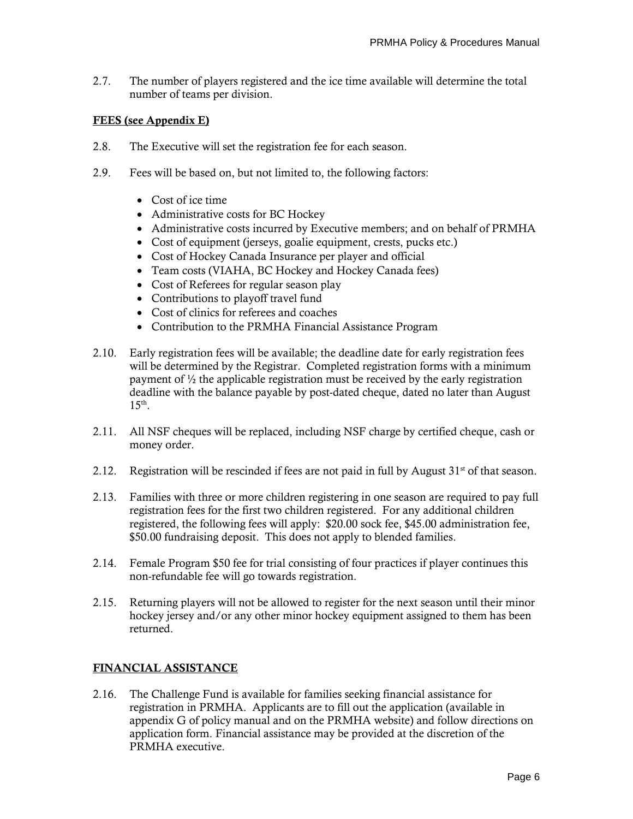2.7. The number of players registered and the ice time available will determine the total number of teams per division.

# **FEES (see Appendix E)**

- 2.8. The Executive will set the registration fee for each season.
- 2.9. Fees will be based on, but not limited to, the following factors:
	- Cost of ice time
	- Administrative costs for BC Hockey
	- Administrative costs incurred by Executive members; and on behalf of PRMHA
	- Cost of equipment (jerseys, goalie equipment, crests, pucks etc.)
	- Cost of Hockey Canada Insurance per player and official
	- Team costs (VIAHA, BC Hockey and Hockey Canada fees)
	- Cost of Referees for regular season play
	- Contributions to playoff travel fund
	- Cost of clinics for referees and coaches
	- Contribution to the PRMHA Financial Assistance Program
- 2.10. Early registration fees will be available; the deadline date for early registration fees will be determined by the Registrar. Completed registration forms with a minimum payment of  $\frac{1}{2}$  the applicable registration must be received by the early registration deadline with the balance payable by post-dated cheque, dated no later than August 15<sup>th</sup>.
- 2.11. All NSF cheques will be replaced, including NSF charge by certified cheque, cash or money order.
- 2.12. Registration will be rescinded if fees are not paid in full by August  $31<sup>st</sup>$  of that season.
- 2.13. Families with three or more children registering in one season are required to pay full registration fees for the first two children registered. For any additional children registered, the following fees will apply: \$20.00 sock fee, \$45.00 administration fee, \$50.00 fundraising deposit. This does not apply to blended families.
- 2.14. Female Program \$50 fee for trial consisting of four practices if player continues this non-refundable fee will go towards registration.
- 2.15. Returning players will not be allowed to register for the next season until their minor hockey jersey and/or any other minor hockey equipment assigned to them has been returned.

# **FINANCIAL ASSISTANCE**

2.16. The Challenge Fund is available for families seeking financial assistance for registration in PRMHA. Applicants are to fill out the application (available in appendix G of policy manual and on the PRMHA website) and follow directions on application form. Financial assistance may be provided at the discretion of the PRMHA executive.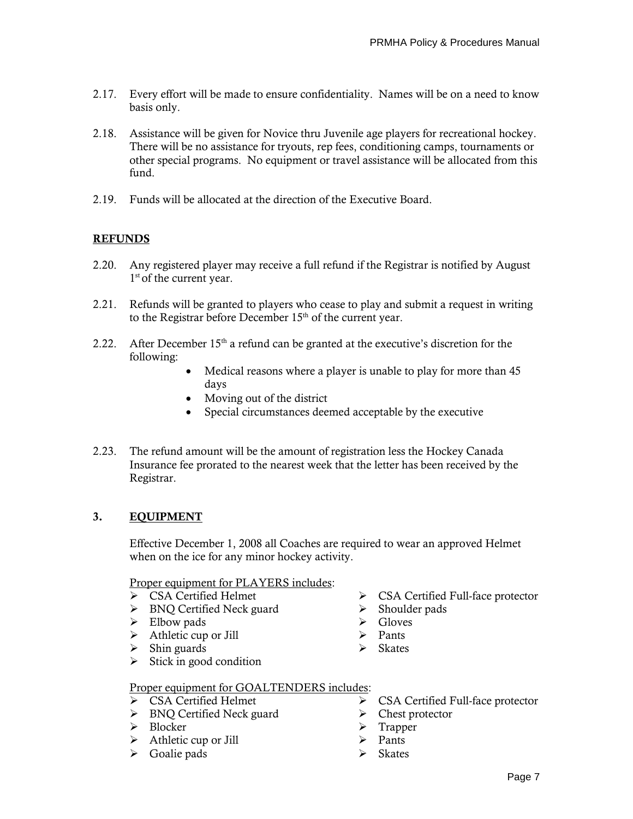- 2.17. Every effort will be made to ensure confidentiality. Names will be on a need to know basis only.
- 2.18. Assistance will be given for Novice thru Juvenile age players for recreational hockey. There will be no assistance for tryouts, rep fees, conditioning camps, tournaments or other special programs. No equipment or travel assistance will be allocated from this fund.
- 2.19. Funds will be allocated at the direction of the Executive Board.

# **REFUNDS**

- 2.20. Any registered player may receive a full refund if the Registrar is notified by August 1<sup>st</sup> of the current year.
- 2.21. Refunds will be granted to players who cease to play and submit a request in writing to the Registrar before December 15<sup>th</sup> of the current year.
- 2.22. After December  $15<sup>th</sup>$  a refund can be granted at the executive's discretion for the following:
	- Medical reasons where a player is unable to play for more than 45 days
	- Moving out of the district
	- Special circumstances deemed acceptable by the executive
- 2.23. The refund amount will be the amount of registration less the Hockey Canada Insurance fee prorated to the nearest week that the letter has been received by the Registrar.

# **3. EQUIPMENT**

Effective December 1, 2008 all Coaches are required to wear an approved Helmet when on the ice for any minor hockey activity.

Proper equipment for PLAYERS includes:

- ➢ CSA Certified Helmet ➢ CSA Certified Full-face protector
- ➢ BNQ Certified Neck guard ➢ Shoulder pads
- ➢ Elbow pads ➢ Gloves
- ➢ Athletic cup or Jill ➢ Pants
- ➢ Shin guards ➢ Skates
- $\triangleright$  Stick in good condition
- -
	-
	-

#### Proper equipment for GOALTENDERS includes:

- 
- ➢ BNQ Certified Neck guard ➢ Chest protector
- 
- ➢ Athletic cup or Jill ➢ Pants
- ➢ Goalie pads ➢ Skates
- ➢ CSA Certified Helmet ➢ CSA Certified Full-face protector
	-
- ➢ Blocker ➢ Trapper
	-
	-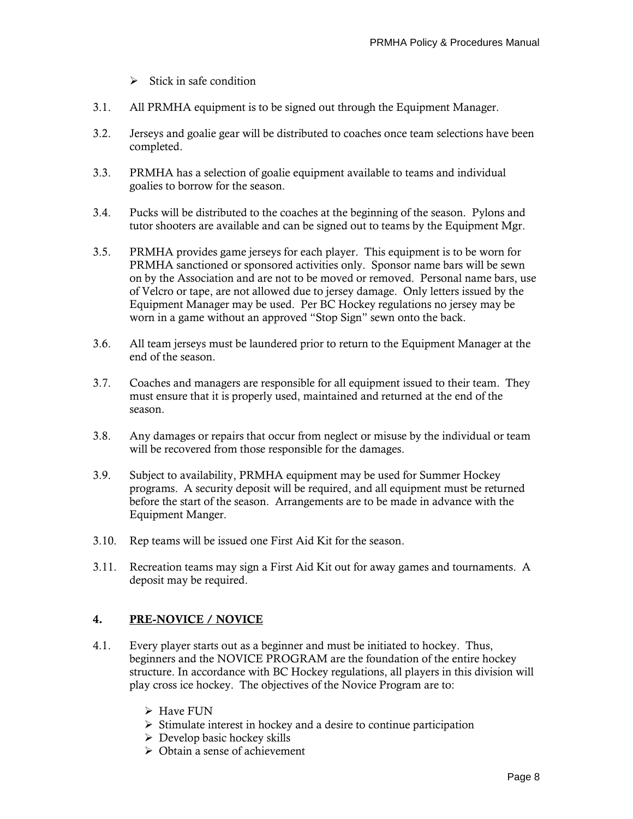- $\triangleright$  Stick in safe condition
- 3.1. All PRMHA equipment is to be signed out through the Equipment Manager.
- 3.2. Jerseys and goalie gear will be distributed to coaches once team selections have been completed.
- 3.3. PRMHA has a selection of goalie equipment available to teams and individual goalies to borrow for the season.
- 3.4. Pucks will be distributed to the coaches at the beginning of the season. Pylons and tutor shooters are available and can be signed out to teams by the Equipment Mgr.
- 3.5. PRMHA provides game jerseys for each player. This equipment is to be worn for PRMHA sanctioned or sponsored activities only. Sponsor name bars will be sewn on by the Association and are not to be moved or removed. Personal name bars, use of Velcro or tape, are not allowed due to jersey damage. Only letters issued by the Equipment Manager may be used. Per BC Hockey regulations no jersey may be worn in a game without an approved "Stop Sign" sewn onto the back.
- 3.6. All team jerseys must be laundered prior to return to the Equipment Manager at the end of the season.
- 3.7. Coaches and managers are responsible for all equipment issued to their team. They must ensure that it is properly used, maintained and returned at the end of the season.
- 3.8. Any damages or repairs that occur from neglect or misuse by the individual or team will be recovered from those responsible for the damages.
- 3.9. Subject to availability, PRMHA equipment may be used for Summer Hockey programs. A security deposit will be required, and all equipment must be returned before the start of the season. Arrangements are to be made in advance with the Equipment Manger.
- 3.10. Rep teams will be issued one First Aid Kit for the season.
- 3.11. Recreation teams may sign a First Aid Kit out for away games and tournaments. A deposit may be required.

# **4. PRE-NOVICE / NOVICE**

- 4.1. Every player starts out as a beginner and must be initiated to hockey. Thus, beginners and the NOVICE PROGRAM are the foundation of the entire hockey structure. In accordance with BC Hockey regulations, all players in this division will play cross ice hockey. The objectives of the Novice Program are to:
	- ➢ Have FUN
	- ➢ Stimulate interest in hockey and a desire to continue participation
	- $\triangleright$  Develop basic hockey skills
	- ➢ Obtain a sense of achievement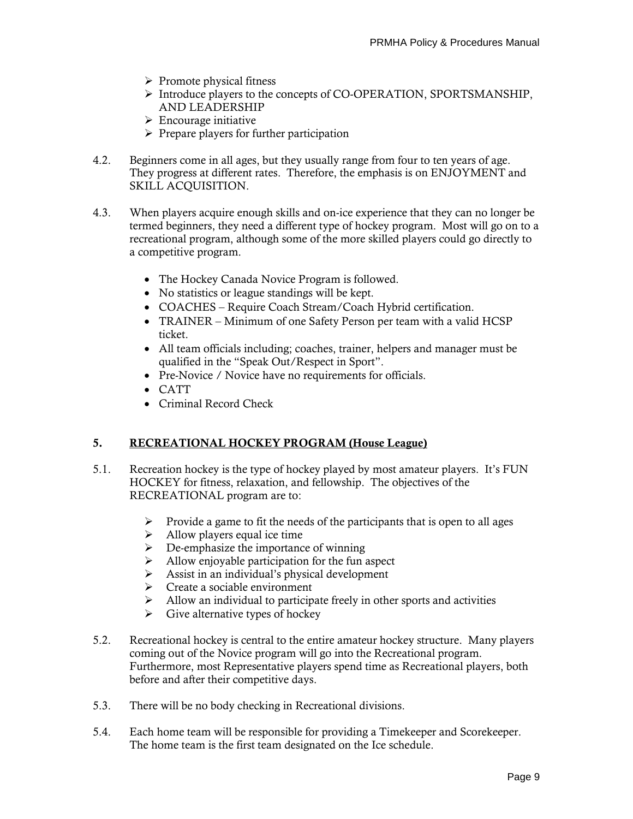- $\triangleright$  Promote physical fitness
- ➢ Introduce players to the concepts of CO-OPERATION, SPORTSMANSHIP, AND LEADERSHIP
- $\triangleright$  Encourage initiative
- ➢ Prepare players for further participation
- 4.2. Beginners come in all ages, but they usually range from four to ten years of age. They progress at different rates. Therefore, the emphasis is on ENJOYMENT and SKILL ACQUISITION.
- 4.3. When players acquire enough skills and on-ice experience that they can no longer be termed beginners, they need a different type of hockey program. Most will go on to a recreational program, although some of the more skilled players could go directly to a competitive program.
	- The Hockey Canada Novice Program is followed.
	- No statistics or league standings will be kept.
	- COACHES Require Coach Stream/Coach Hybrid certification.
	- TRAINER Minimum of one Safety Person per team with a valid HCSP ticket.
	- All team officials including; coaches, trainer, helpers and manager must be qualified in the "Speak Out/Respect in Sport".
	- Pre-Novice / Novice have no requirements for officials.
	- CATT
	- Criminal Record Check

#### **5. RECREATIONAL HOCKEY PROGRAM (House League)**

- 5.1. Recreation hockey is the type of hockey played by most amateur players. It's FUN HOCKEY for fitness, relaxation, and fellowship. The objectives of the RECREATIONAL program are to:
	- ➢ Provide a game to fit the needs of the participants that is open to all ages
	- $\blacktriangleright$  Allow players equal ice time
	- ➢ De-emphasize the importance of winning
	- ➢ Allow enjoyable participation for the fun aspect
	- ➢ Assist in an individual's physical development
	- $\triangleright$  Create a sociable environment
	- $\triangleright$  Allow an individual to participate freely in other sports and activities
	- $\triangleright$  Give alternative types of hockey
- 5.2. Recreational hockey is central to the entire amateur hockey structure. Many players coming out of the Novice program will go into the Recreational program. Furthermore, most Representative players spend time as Recreational players, both before and after their competitive days.
- 5.3. There will be no body checking in Recreational divisions.
- 5.4. Each home team will be responsible for providing a Timekeeper and Scorekeeper. The home team is the first team designated on the Ice schedule.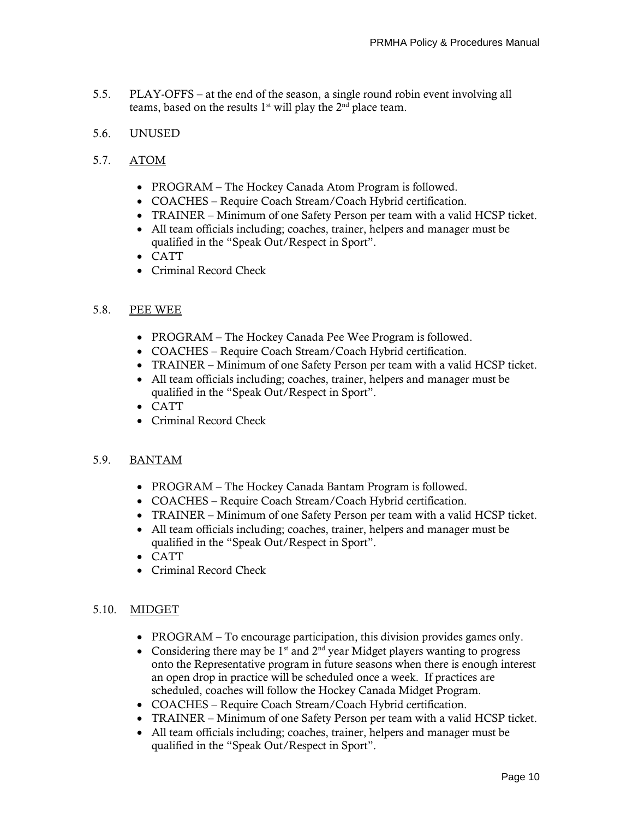- 5.5. PLAY-OFFS at the end of the season, a single round robin event involving all teams, based on the results  $1<sup>st</sup>$  will play the  $2<sup>nd</sup>$  place team.
- 5.6. UNUSED
- 5.7. ATOM
	- PROGRAM The Hockey Canada Atom Program is followed.
	- COACHES Require Coach Stream/Coach Hybrid certification.
	- TRAINER Minimum of one Safety Person per team with a valid HCSP ticket.
	- All team officials including; coaches, trainer, helpers and manager must be qualified in the "Speak Out/Respect in Sport".
	- CATT
	- Criminal Record Check

#### 5.8. PEE WEE

- PROGRAM The Hockey Canada Pee Wee Program is followed.
- COACHES Require Coach Stream/Coach Hybrid certification.
- TRAINER Minimum of one Safety Person per team with a valid HCSP ticket.
- All team officials including; coaches, trainer, helpers and manager must be qualified in the "Speak Out/Respect in Sport".
- CATT
- Criminal Record Check

#### 5.9. BANTAM

- PROGRAM The Hockey Canada Bantam Program is followed.
- COACHES Require Coach Stream/Coach Hybrid certification.
- TRAINER Minimum of one Safety Person per team with a valid HCSP ticket.
- All team officials including; coaches, trainer, helpers and manager must be qualified in the "Speak Out/Respect in Sport".
- CATT
- Criminal Record Check

#### 5.10. MIDGET

- PROGRAM To encourage participation, this division provides games only.
- Considering there may be  $1<sup>st</sup>$  and  $2<sup>nd</sup>$  year Midget players wanting to progress onto the Representative program in future seasons when there is enough interest an open drop in practice will be scheduled once a week. If practices are scheduled, coaches will follow the Hockey Canada Midget Program.
- COACHES Require Coach Stream/Coach Hybrid certification.
- TRAINER Minimum of one Safety Person per team with a valid HCSP ticket.
- All team officials including; coaches, trainer, helpers and manager must be qualified in the "Speak Out/Respect in Sport".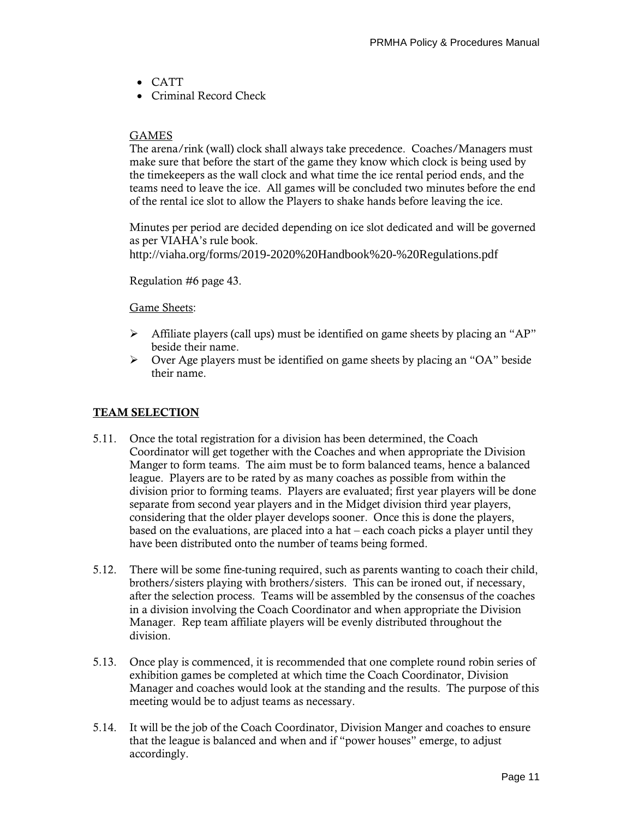- CATT
- Criminal Record Check

# GAMES

The arena/rink (wall) clock shall always take precedence. Coaches/Managers must make sure that before the start of the game they know which clock is being used by the timekeepers as the wall clock and what time the ice rental period ends, and the teams need to leave the ice. All games will be concluded two minutes before the end of the rental ice slot to allow the Players to shake hands before leaving the ice.

Minutes per period are decided depending on ice slot dedicated and will be governed as per VIAHA's rule book. http://viaha.org/forms/2019-2020%20Handbook%20-%20Regulations.pdf

Regulation #6 page 43.

# Game Sheets:

- $\triangleright$  Affiliate players (call ups) must be identified on game sheets by placing an "AP" beside their name.
- $\triangleright$  Over Age players must be identified on game sheets by placing an "OA" beside their name.

# **TEAM SELECTION**

- 5.11. Once the total registration for a division has been determined, the Coach Coordinator will get together with the Coaches and when appropriate the Division Manger to form teams. The aim must be to form balanced teams, hence a balanced league. Players are to be rated by as many coaches as possible from within the division prior to forming teams. Players are evaluated; first year players will be done separate from second year players and in the Midget division third year players, considering that the older player develops sooner. Once this is done the players, based on the evaluations, are placed into a hat – each coach picks a player until they have been distributed onto the number of teams being formed.
- 5.12. There will be some fine-tuning required, such as parents wanting to coach their child, brothers/sisters playing with brothers/sisters. This can be ironed out, if necessary, after the selection process. Teams will be assembled by the consensus of the coaches in a division involving the Coach Coordinator and when appropriate the Division Manager. Rep team affiliate players will be evenly distributed throughout the division.
- 5.13. Once play is commenced, it is recommended that one complete round robin series of exhibition games be completed at which time the Coach Coordinator, Division Manager and coaches would look at the standing and the results. The purpose of this meeting would be to adjust teams as necessary.
- 5.14. It will be the job of the Coach Coordinator, Division Manger and coaches to ensure that the league is balanced and when and if "power houses" emerge, to adjust accordingly.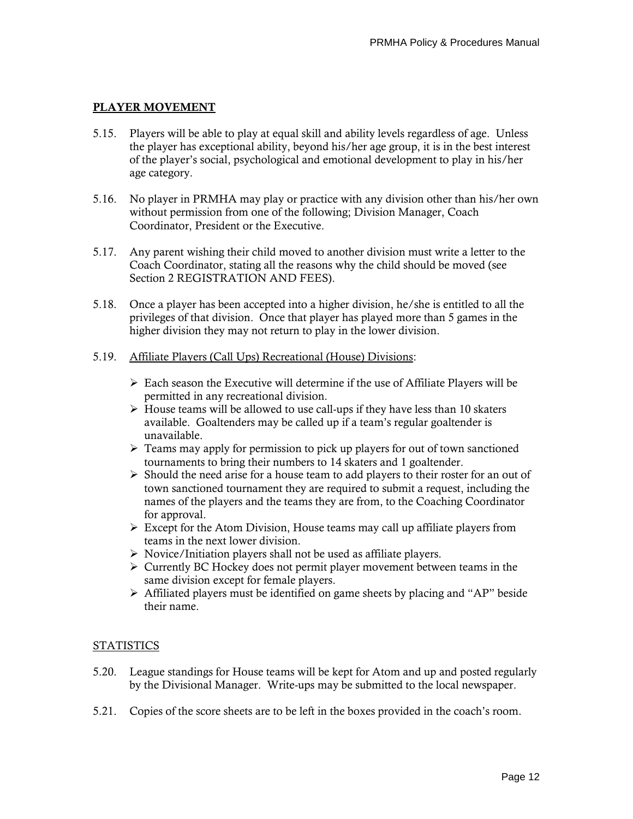# **PLAYER MOVEMENT**

- 5.15. Players will be able to play at equal skill and ability levels regardless of age. Unless the player has exceptional ability, beyond his/her age group, it is in the best interest of the player's social, psychological and emotional development to play in his/her age category.
- 5.16. No player in PRMHA may play or practice with any division other than his/her own without permission from one of the following; Division Manager, Coach Coordinator, President or the Executive.
- 5.17. Any parent wishing their child moved to another division must write a letter to the Coach Coordinator, stating all the reasons why the child should be moved (see Section 2 REGISTRATION AND FEES).
- 5.18. Once a player has been accepted into a higher division, he/she is entitled to all the privileges of that division. Once that player has played more than 5 games in the higher division they may not return to play in the lower division.

#### 5.19. Affiliate Players (Call Ups) Recreational (House) Divisions:

- $\triangleright$  Each season the Executive will determine if the use of Affiliate Players will be permitted in any recreational division.
- $\triangleright$  House teams will be allowed to use call-ups if they have less than 10 skaters available. Goaltenders may be called up if a team's regular goaltender is unavailable.
- ➢ Teams may apply for permission to pick up players for out of town sanctioned tournaments to bring their numbers to 14 skaters and 1 goaltender.
- $\triangleright$  Should the need arise for a house team to add players to their roster for an out of town sanctioned tournament they are required to submit a request, including the names of the players and the teams they are from, to the Coaching Coordinator for approval.
- $\triangleright$  Except for the Atom Division, House teams may call up affiliate players from teams in the next lower division.
- ➢ Novice/Initiation players shall not be used as affiliate players.
- $\triangleright$  Currently BC Hockey does not permit player movement between teams in the same division except for female players.
- $\triangleright$  Affiliated players must be identified on game sheets by placing and "AP" beside their name.

# STATISTICS

- 5.20. League standings for House teams will be kept for Atom and up and posted regularly by the Divisional Manager. Write-ups may be submitted to the local newspaper.
- 5.21. Copies of the score sheets are to be left in the boxes provided in the coach's room.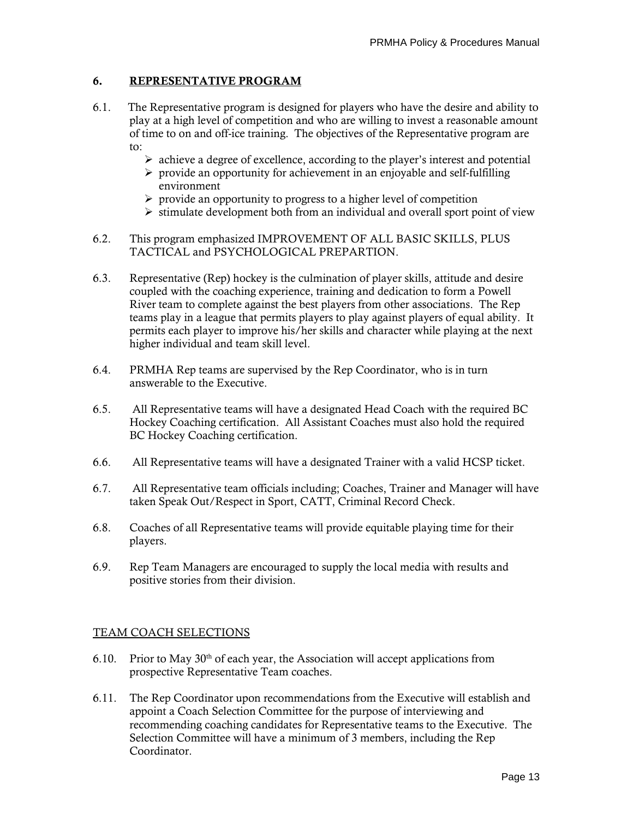# **6. REPRESENTATIVE PROGRAM**

- 6.1. The Representative program is designed for players who have the desire and ability to play at a high level of competition and who are willing to invest a reasonable amount of time to on and off-ice training. The objectives of the Representative program are to:
	- ➢ achieve a degree of excellence, according to the player's interest and potential
	- $\triangleright$  provide an opportunity for achievement in an enjoyable and self-fulfilling environment
	- $\triangleright$  provide an opportunity to progress to a higher level of competition
	- $\triangleright$  stimulate development both from an individual and overall sport point of view
- 6.2. This program emphasized IMPROVEMENT OF ALL BASIC SKILLS, PLUS TACTICAL and PSYCHOLOGICAL PREPARTION.
- 6.3. Representative (Rep) hockey is the culmination of player skills, attitude and desire coupled with the coaching experience, training and dedication to form a Powell River team to complete against the best players from other associations. The Rep teams play in a league that permits players to play against players of equal ability. It permits each player to improve his/her skills and character while playing at the next higher individual and team skill level.
- 6.4. PRMHA Rep teams are supervised by the Rep Coordinator, who is in turn answerable to the Executive.
- 6.5. All Representative teams will have a designated Head Coach with the required BC Hockey Coaching certification. All Assistant Coaches must also hold the required BC Hockey Coaching certification.
- 6.6. All Representative teams will have a designated Trainer with a valid HCSP ticket.
- 6.7. All Representative team officials including; Coaches, Trainer and Manager will have taken Speak Out/Respect in Sport, CATT, Criminal Record Check.
- 6.8. Coaches of all Representative teams will provide equitable playing time for their players.
- 6.9. Rep Team Managers are encouraged to supply the local media with results and positive stories from their division.

# TEAM COACH SELECTIONS

- 6.10. Prior to May  $30<sup>th</sup>$  of each year, the Association will accept applications from prospective Representative Team coaches.
- 6.11. The Rep Coordinator upon recommendations from the Executive will establish and appoint a Coach Selection Committee for the purpose of interviewing and recommending coaching candidates for Representative teams to the Executive. The Selection Committee will have a minimum of 3 members, including the Rep Coordinator.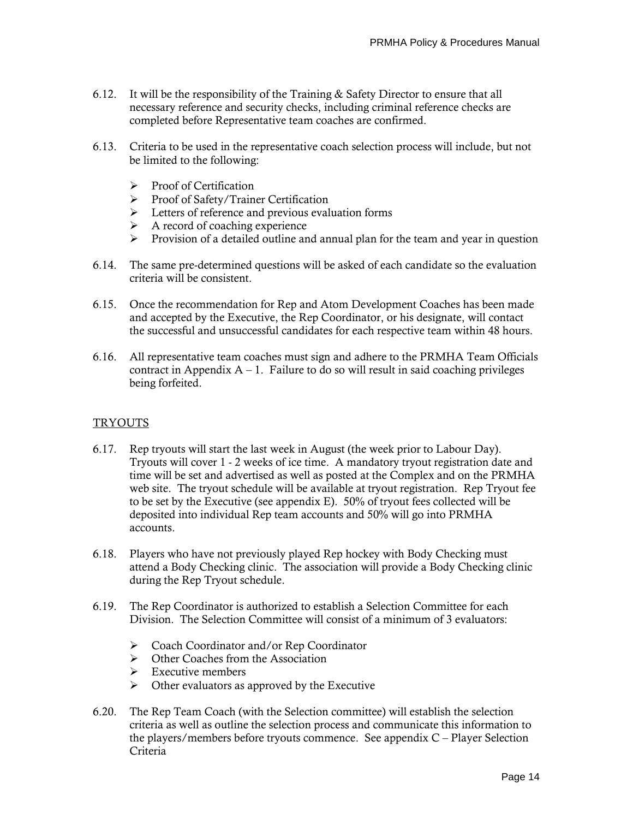- 6.12. It will be the responsibility of the Training  $&$  Safety Director to ensure that all necessary reference and security checks, including criminal reference checks are completed before Representative team coaches are confirmed.
- 6.13. Criteria to be used in the representative coach selection process will include, but not be limited to the following:
	- ➢ Proof of Certification
	- ➢ Proof of Safety/Trainer Certification
	- ➢ Letters of reference and previous evaluation forms
	- $\triangleright$  A record of coaching experience
	- ➢ Provision of a detailed outline and annual plan for the team and year in question
- 6.14. The same pre-determined questions will be asked of each candidate so the evaluation criteria will be consistent.
- 6.15. Once the recommendation for Rep and Atom Development Coaches has been made and accepted by the Executive, the Rep Coordinator, or his designate, will contact the successful and unsuccessful candidates for each respective team within 48 hours.
- 6.16. All representative team coaches must sign and adhere to the PRMHA Team Officials contract in Appendix  $A - 1$ . Failure to do so will result in said coaching privileges being forfeited.

#### TRYOUTS

- 6.17. Rep tryouts will start the last week in August (the week prior to Labour Day). Tryouts will cover 1 - 2 weeks of ice time. A mandatory tryout registration date and time will be set and advertised as well as posted at the Complex and on the PRMHA web site. The tryout schedule will be available at tryout registration. Rep Tryout fee to be set by the Executive (see appendix E). 50% of tryout fees collected will be deposited into individual Rep team accounts and 50% will go into PRMHA accounts.
- 6.18. Players who have not previously played Rep hockey with Body Checking must attend a Body Checking clinic. The association will provide a Body Checking clinic during the Rep Tryout schedule.
- 6.19. The Rep Coordinator is authorized to establish a Selection Committee for each Division. The Selection Committee will consist of a minimum of 3 evaluators:
	- ➢ Coach Coordinator and/or Rep Coordinator
	- $\triangleright$  Other Coaches from the Association<br> $\triangleright$  Executive members
	- ➢ Executive members
	- $\triangleright$  Other evaluators as approved by the Executive
- 6.20. The Rep Team Coach (with the Selection committee) will establish the selection criteria as well as outline the selection process and communicate this information to the players/members before tryouts commence. See appendix C – Player Selection Criteria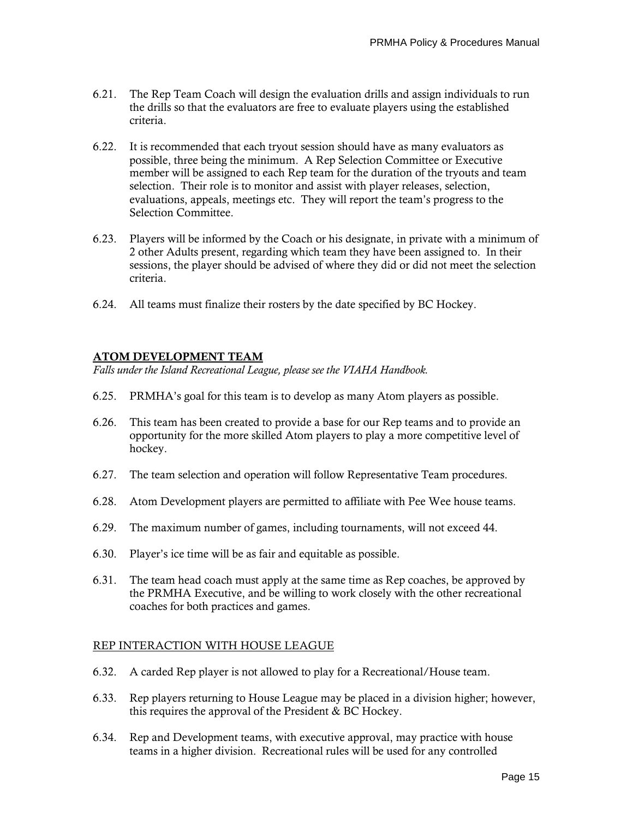- 6.21. The Rep Team Coach will design the evaluation drills and assign individuals to run the drills so that the evaluators are free to evaluate players using the established criteria.
- 6.22. It is recommended that each tryout session should have as many evaluators as possible, three being the minimum. A Rep Selection Committee or Executive member will be assigned to each Rep team for the duration of the tryouts and team selection. Their role is to monitor and assist with player releases, selection, evaluations, appeals, meetings etc. They will report the team's progress to the Selection Committee.
- 6.23. Players will be informed by the Coach or his designate, in private with a minimum of 2 other Adults present, regarding which team they have been assigned to. In their sessions, the player should be advised of where they did or did not meet the selection criteria.
- 6.24. All teams must finalize their rosters by the date specified by BC Hockey.

# **ATOM DEVELOPMENT TEAM**

*Falls under the Island Recreational League, please see the VIAHA Handbook.*

- 6.25. PRMHA's goal for this team is to develop as many Atom players as possible.
- 6.26. This team has been created to provide a base for our Rep teams and to provide an opportunity for the more skilled Atom players to play a more competitive level of hockey.
- 6.27. The team selection and operation will follow Representative Team procedures.
- 6.28. Atom Development players are permitted to affiliate with Pee Wee house teams.
- 6.29. The maximum number of games, including tournaments, will not exceed 44.
- 6.30. Player's ice time will be as fair and equitable as possible.
- 6.31. The team head coach must apply at the same time as Rep coaches, be approved by the PRMHA Executive, and be willing to work closely with the other recreational coaches for both practices and games.

#### REP INTERACTION WITH HOUSE LEAGUE

- 6.32. A carded Rep player is not allowed to play for a Recreational/House team.
- 6.33. Rep players returning to House League may be placed in a division higher; however, this requires the approval of the President & BC Hockey.
- 6.34. Rep and Development teams, with executive approval, may practice with house teams in a higher division. Recreational rules will be used for any controlled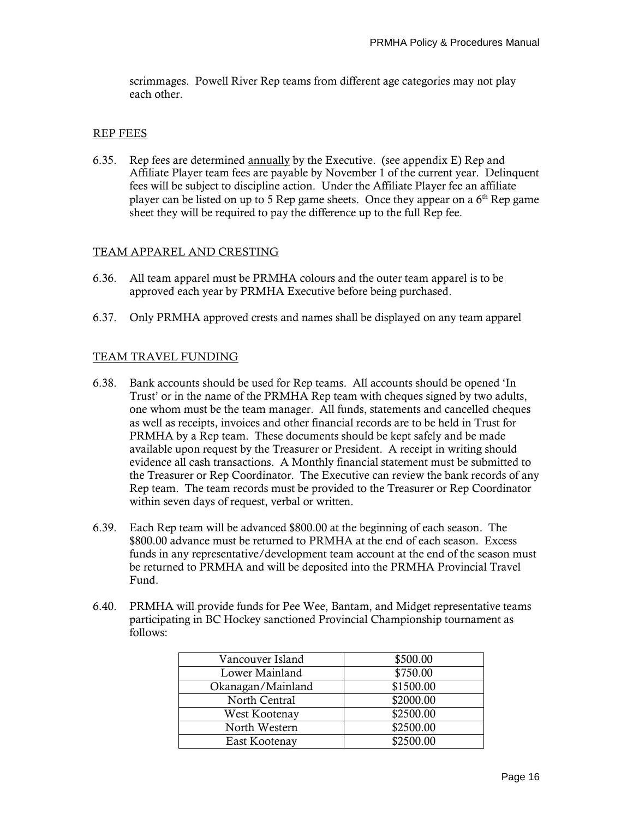scrimmages. Powell River Rep teams from different age categories may not play each other.

#### REP FEES

6.35. Rep fees are determined annually by the Executive. (see appendix E) Rep and Affiliate Player team fees are payable by November 1 of the current year. Delinquent fees will be subject to discipline action. Under the Affiliate Player fee an affiliate player can be listed on up to 5 Rep game sheets. Once they appear on a  $6<sup>th</sup>$  Rep game sheet they will be required to pay the difference up to the full Rep fee.

# TEAM APPAREL AND CRESTING

- 6.36. All team apparel must be PRMHA colours and the outer team apparel is to be approved each year by PRMHA Executive before being purchased.
- 6.37. Only PRMHA approved crests and names shall be displayed on any team apparel

# TEAM TRAVEL FUNDING

- 6.38. Bank accounts should be used for Rep teams. All accounts should be opened 'In Trust' or in the name of the PRMHA Rep team with cheques signed by two adults, one whom must be the team manager. All funds, statements and cancelled cheques as well as receipts, invoices and other financial records are to be held in Trust for PRMHA by a Rep team. These documents should be kept safely and be made available upon request by the Treasurer or President. A receipt in writing should evidence all cash transactions. A Monthly financial statement must be submitted to the Treasurer or Rep Coordinator. The Executive can review the bank records of any Rep team. The team records must be provided to the Treasurer or Rep Coordinator within seven days of request, verbal or written.
- 6.39. Each Rep team will be advanced \$800.00 at the beginning of each season. The \$800.00 advance must be returned to PRMHA at the end of each season. Excess funds in any representative/development team account at the end of the season must be returned to PRMHA and will be deposited into the PRMHA Provincial Travel Fund.
- 6.40. PRMHA will provide funds for Pee Wee, Bantam, and Midget representative teams participating in BC Hockey sanctioned Provincial Championship tournament as follows:

| Vancouver Island  | \$500.00  |
|-------------------|-----------|
| Lower Mainland    | \$750.00  |
| Okanagan/Mainland | \$1500.00 |
| North Central     | \$2000.00 |
| West Kootenay     | \$2500.00 |
| North Western     | \$2500.00 |
| East Kootenay     | \$2500.00 |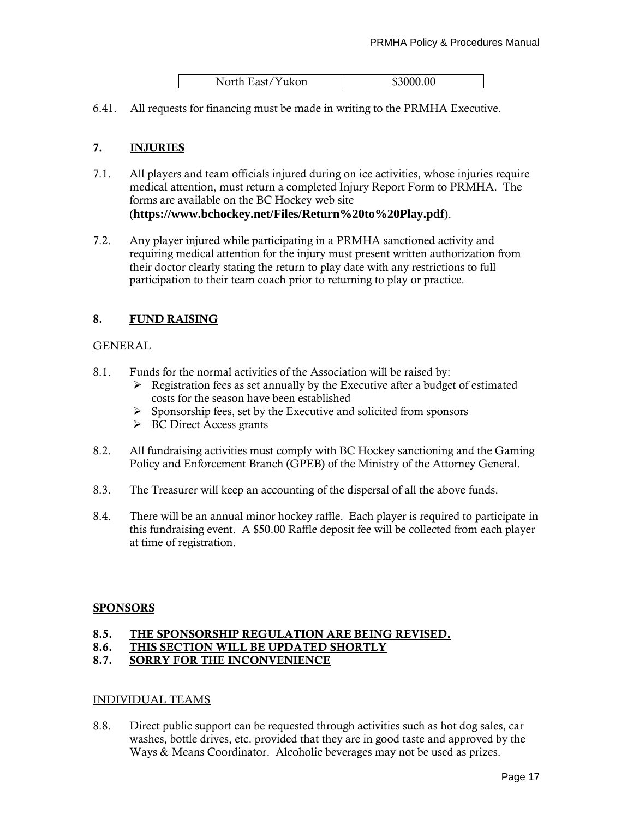| North East/Yukon | \$3000.00 |
|------------------|-----------|

6.41. All requests for financing must be made in writing to the PRMHA Executive.

# **7. INJURIES**

- 7.1. All players and team officials injured during on ice activities, whose injuries require medical attention, must return a completed Injury Report Form to PRMHA. The forms are available on the BC Hockey web site (**https://www.bchockey.net/Files/Return%20to%20Play.pdf**).
- 7.2. Any player injured while participating in a PRMHA sanctioned activity and requiring medical attention for the injury must present written authorization from their doctor clearly stating the return to play date with any restrictions to full participation to their team coach prior to returning to play or practice.

# **8. FUND RAISING**

#### GENERAL

- 8.1. Funds for the normal activities of the Association will be raised by:
	- ➢ Registration fees as set annually by the Executive after a budget of estimated costs for the season have been established
	- $\triangleright$  Sponsorship fees, set by the Executive and solicited from sponsors
	- ➢ BC Direct Access grants
- 8.2. All fundraising activities must comply with BC Hockey sanctioning and the Gaming Policy and Enforcement Branch (GPEB) of the Ministry of the Attorney General.
- 8.3. The Treasurer will keep an accounting of the dispersal of all the above funds.
- 8.4. There will be an annual minor hockey raffle. Each player is required to participate in this fundraising event. A \$50.00 Raffle deposit fee will be collected from each player at time of registration.

#### **SPONSORS**

# **8.5. THE SPONSORSHIP REGULATION ARE BEING REVISED.**

**8.6. THIS SECTION WILL BE UPDATED SHORTLY**

# **8.7. SORRY FOR THE INCONVENIENCE**

#### INDIVIDUAL TEAMS

8.8. Direct public support can be requested through activities such as hot dog sales, car washes, bottle drives, etc. provided that they are in good taste and approved by the Ways & Means Coordinator. Alcoholic beverages may not be used as prizes.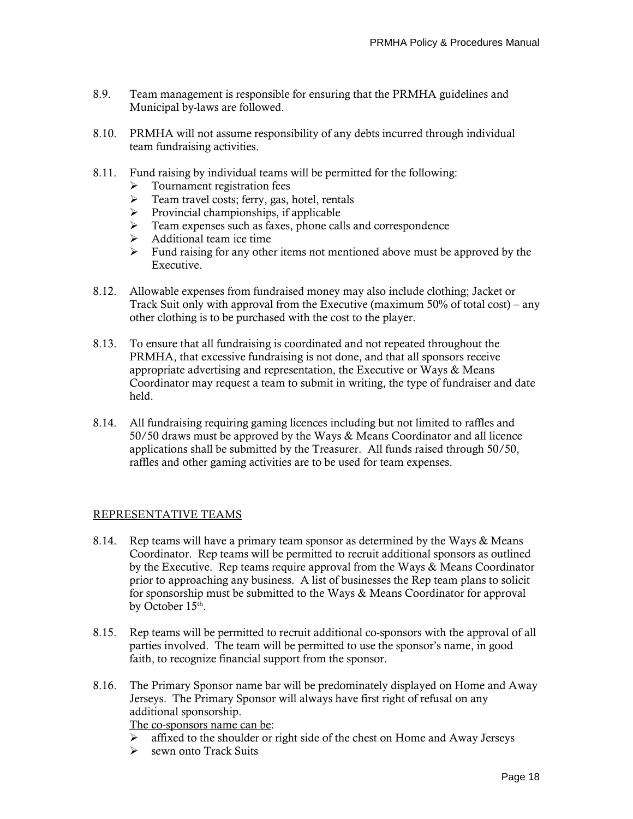- 8.9. Team management is responsible for ensuring that the PRMHA guidelines and Municipal by-laws are followed.
- 8.10. PRMHA will not assume responsibility of any debts incurred through individual team fundraising activities.
- 8.11. Fund raising by individual teams will be permitted for the following:
	- ➢ Tournament registration fees
	- ➢ Team travel costs; ferry, gas, hotel, rentals
	- $\triangleright$  Provincial championships, if applicable
	- ➢ Team expenses such as faxes, phone calls and correspondence
	- $\triangleright$  Additional team ice time
	- $\triangleright$  Fund raising for any other items not mentioned above must be approved by the Executive.
- 8.12. Allowable expenses from fundraised money may also include clothing; Jacket or Track Suit only with approval from the Executive (maximum 50% of total cost) – any other clothing is to be purchased with the cost to the player.
- 8.13. To ensure that all fundraising is coordinated and not repeated throughout the PRMHA, that excessive fundraising is not done, and that all sponsors receive appropriate advertising and representation, the Executive or Ways & Means Coordinator may request a team to submit in writing, the type of fundraiser and date held.
- 8.14. All fundraising requiring gaming licences including but not limited to raffles and 50/50 draws must be approved by the Ways & Means Coordinator and all licence applications shall be submitted by the Treasurer. All funds raised through 50/50, raffles and other gaming activities are to be used for team expenses.

# REPRESENTATIVE TEAMS

- 8.14. Rep teams will have a primary team sponsor as determined by the Ways & Means Coordinator. Rep teams will be permitted to recruit additional sponsors as outlined by the Executive. Rep teams require approval from the Ways & Means Coordinator prior to approaching any business. A list of businesses the Rep team plans to solicit for sponsorship must be submitted to the Ways & Means Coordinator for approval by October  $15<sup>th</sup>$ .
- 8.15. Rep teams will be permitted to recruit additional co-sponsors with the approval of all parties involved. The team will be permitted to use the sponsor's name, in good faith, to recognize financial support from the sponsor.
- 8.16. The Primary Sponsor name bar will be predominately displayed on Home and Away Jerseys. The Primary Sponsor will always have first right of refusal on any additional sponsorship.

The co-sponsors name can be:

- ➢ affixed to the shoulder or right side of the chest on Home and Away Jerseys
- ➢ sewn onto Track Suits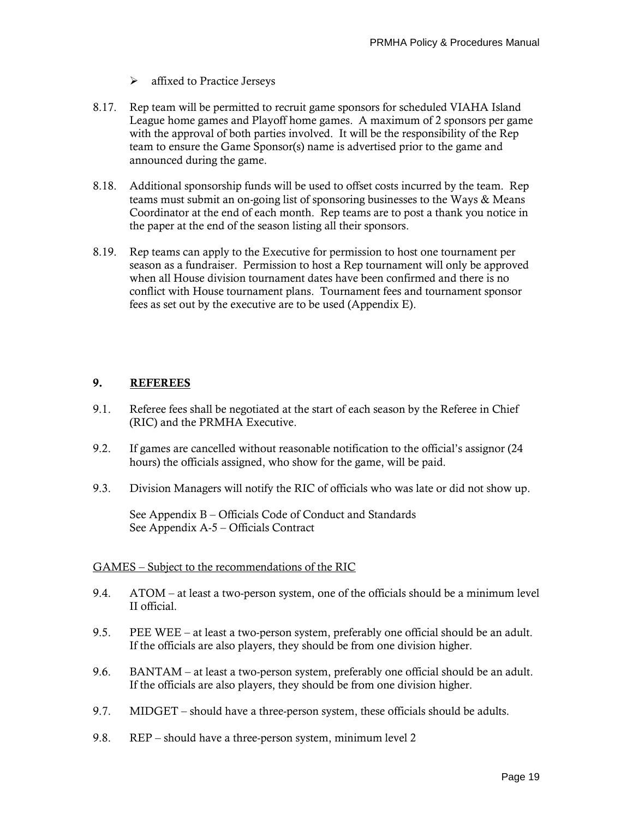- ➢ affixed to Practice Jerseys
- 8.17. Rep team will be permitted to recruit game sponsors for scheduled VIAHA Island League home games and Playoff home games. A maximum of 2 sponsors per game with the approval of both parties involved. It will be the responsibility of the Rep team to ensure the Game Sponsor(s) name is advertised prior to the game and announced during the game.
- 8.18. Additional sponsorship funds will be used to offset costs incurred by the team. Rep teams must submit an on-going list of sponsoring businesses to the Ways & Means Coordinator at the end of each month. Rep teams are to post a thank you notice in the paper at the end of the season listing all their sponsors.
- 8.19. Rep teams can apply to the Executive for permission to host one tournament per season as a fundraiser. Permission to host a Rep tournament will only be approved when all House division tournament dates have been confirmed and there is no conflict with House tournament plans. Tournament fees and tournament sponsor fees as set out by the executive are to be used (Appendix E).

# **9. REFEREES**

- 9.1. Referee fees shall be negotiated at the start of each season by the Referee in Chief (RIC) and the PRMHA Executive.
- 9.2. If games are cancelled without reasonable notification to the official's assignor (24 hours) the officials assigned, who show for the game, will be paid.
- 9.3. Division Managers will notify the RIC of officials who was late or did not show up.

See Appendix B – Officials Code of Conduct and Standards See Appendix A-5 – Officials Contract

#### GAMES – Subject to the recommendations of the RIC

- 9.4. ATOM at least a two-person system, one of the officials should be a minimum level II official.
- 9.5. PEE WEE at least a two-person system, preferably one official should be an adult. If the officials are also players, they should be from one division higher.
- 9.6. BANTAM at least a two-person system, preferably one official should be an adult. If the officials are also players, they should be from one division higher.
- 9.7. MIDGET should have a three-person system, these officials should be adults.
- 9.8. REP should have a three-person system, minimum level 2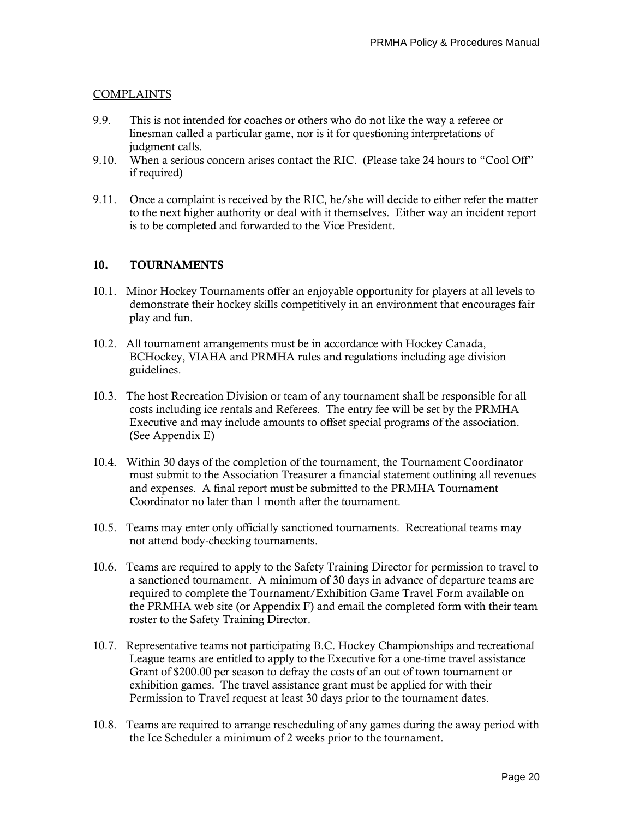# COMPLAINTS

- 9.9. This is not intended for coaches or others who do not like the way a referee or linesman called a particular game, nor is it for questioning interpretations of judgment calls.
- 9.10. When a serious concern arises contact the RIC. (Please take 24 hours to "Cool Off" if required)
- 9.11. Once a complaint is received by the RIC, he/she will decide to either refer the matter to the next higher authority or deal with it themselves. Either way an incident report is to be completed and forwarded to the Vice President.

# **10. TOURNAMENTS**

- 10.1. Minor Hockey Tournaments offer an enjoyable opportunity for players at all levels to demonstrate their hockey skills competitively in an environment that encourages fair play and fun.
- 10.2. All tournament arrangements must be in accordance with Hockey Canada, BCHockey, VIAHA and PRMHA rules and regulations including age division guidelines.
- 10.3. The host Recreation Division or team of any tournament shall be responsible for all costs including ice rentals and Referees. The entry fee will be set by the PRMHA Executive and may include amounts to offset special programs of the association. (See Appendix E)
- 10.4. Within 30 days of the completion of the tournament, the Tournament Coordinator must submit to the Association Treasurer a financial statement outlining all revenues and expenses. A final report must be submitted to the PRMHA Tournament Coordinator no later than 1 month after the tournament.
- 10.5. Teams may enter only officially sanctioned tournaments. Recreational teams may not attend body-checking tournaments.
- 10.6. Teams are required to apply to the Safety Training Director for permission to travel to a sanctioned tournament. A minimum of 30 days in advance of departure teams are required to complete the Tournament/Exhibition Game Travel Form available on the PRMHA web site (or Appendix F) and email the completed form with their team roster to the Safety Training Director.
- 10.7. Representative teams not participating B.C. Hockey Championships and recreational League teams are entitled to apply to the Executive for a one-time travel assistance Grant of \$200.00 per season to defray the costs of an out of town tournament or exhibition games. The travel assistance grant must be applied for with their Permission to Travel request at least 30 days prior to the tournament dates.
- 10.8. Teams are required to arrange rescheduling of any games during the away period with the Ice Scheduler a minimum of 2 weeks prior to the tournament.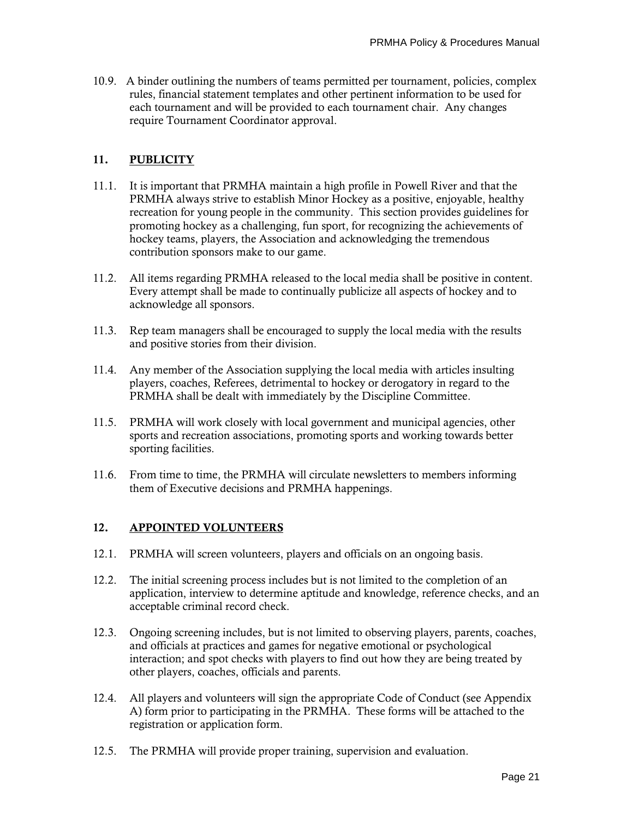10.9. A binder outlining the numbers of teams permitted per tournament, policies, complex rules, financial statement templates and other pertinent information to be used for each tournament and will be provided to each tournament chair. Any changes require Tournament Coordinator approval.

# **11. PUBLICITY**

- 11.1. It is important that PRMHA maintain a high profile in Powell River and that the PRMHA always strive to establish Minor Hockey as a positive, enjoyable, healthy recreation for young people in the community. This section provides guidelines for promoting hockey as a challenging, fun sport, for recognizing the achievements of hockey teams, players, the Association and acknowledging the tremendous contribution sponsors make to our game.
- 11.2. All items regarding PRMHA released to the local media shall be positive in content. Every attempt shall be made to continually publicize all aspects of hockey and to acknowledge all sponsors.
- 11.3. Rep team managers shall be encouraged to supply the local media with the results and positive stories from their division.
- 11.4. Any member of the Association supplying the local media with articles insulting players, coaches, Referees, detrimental to hockey or derogatory in regard to the PRMHA shall be dealt with immediately by the Discipline Committee.
- 11.5. PRMHA will work closely with local government and municipal agencies, other sports and recreation associations, promoting sports and working towards better sporting facilities.
- 11.6. From time to time, the PRMHA will circulate newsletters to members informing them of Executive decisions and PRMHA happenings.

# **12. APPOINTED VOLUNTEERS**

- 12.1. PRMHA will screen volunteers, players and officials on an ongoing basis.
- 12.2. The initial screening process includes but is not limited to the completion of an application, interview to determine aptitude and knowledge, reference checks, and an acceptable criminal record check.
- 12.3. Ongoing screening includes, but is not limited to observing players, parents, coaches, and officials at practices and games for negative emotional or psychological interaction; and spot checks with players to find out how they are being treated by other players, coaches, officials and parents.
- 12.4. All players and volunteers will sign the appropriate Code of Conduct (see Appendix A) form prior to participating in the PRMHA. These forms will be attached to the registration or application form.
- 12.5. The PRMHA will provide proper training, supervision and evaluation.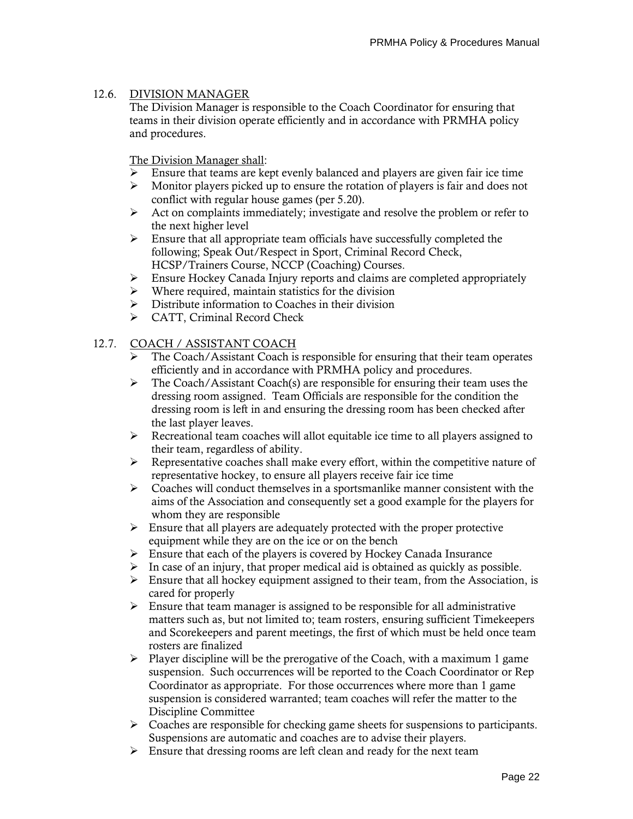# 12.6. DIVISION MANAGER

The Division Manager is responsible to the Coach Coordinator for ensuring that teams in their division operate efficiently and in accordance with PRMHA policy and procedures.

The Division Manager shall:

- $\triangleright$  Ensure that teams are kept evenly balanced and players are given fair ice time
- $\triangleright$  Monitor players picked up to ensure the rotation of players is fair and does not conflict with regular house games (per 5.20).
- ➢ Act on complaints immediately; investigate and resolve the problem or refer to the next higher level
- ➢ Ensure that all appropriate team officials have successfully completed the following; Speak Out/Respect in Sport, Criminal Record Check, HCSP/Trainers Course, NCCP (Coaching) Courses.
- $\triangleright$  Ensure Hockey Canada Injury reports and claims are completed appropriately
- ➢ Where required, maintain statistics for the division
- ➢ Distribute information to Coaches in their division
- ➢ CATT, Criminal Record Check

# 12.7. COACH / ASSISTANT COACH

- $\triangleright$  The Coach/Assistant Coach is responsible for ensuring that their team operates efficiently and in accordance with PRMHA policy and procedures.
- ➢ The Coach/Assistant Coach(s) are responsible for ensuring their team uses the dressing room assigned. Team Officials are responsible for the condition the dressing room is left in and ensuring the dressing room has been checked after the last player leaves.
- ➢ Recreational team coaches will allot equitable ice time to all players assigned to their team, regardless of ability.
- $\triangleright$  Representative coaches shall make every effort, within the competitive nature of representative hockey, to ensure all players receive fair ice time
- $\triangleright$  Coaches will conduct themselves in a sportsmanlike manner consistent with the aims of the Association and consequently set a good example for the players for whom they are responsible
- $\triangleright$  Ensure that all players are adequately protected with the proper protective equipment while they are on the ice or on the bench
- $\triangleright$  Ensure that each of the players is covered by Hockey Canada Insurance
- $\triangleright$  In case of an injury, that proper medical aid is obtained as quickly as possible.
- ➢ Ensure that all hockey equipment assigned to their team, from the Association, is cared for properly
- $\triangleright$  Ensure that team manager is assigned to be responsible for all administrative matters such as, but not limited to; team rosters, ensuring sufficient Timekeepers and Scorekeepers and parent meetings, the first of which must be held once team rosters are finalized
- $\triangleright$  Player discipline will be the prerogative of the Coach, with a maximum 1 game suspension. Such occurrences will be reported to the Coach Coordinator or Rep Coordinator as appropriate. For those occurrences where more than 1 game suspension is considered warranted; team coaches will refer the matter to the Discipline Committee
- $\triangleright$  Coaches are responsible for checking game sheets for suspensions to participants. Suspensions are automatic and coaches are to advise their players.
- ➢ Ensure that dressing rooms are left clean and ready for the next team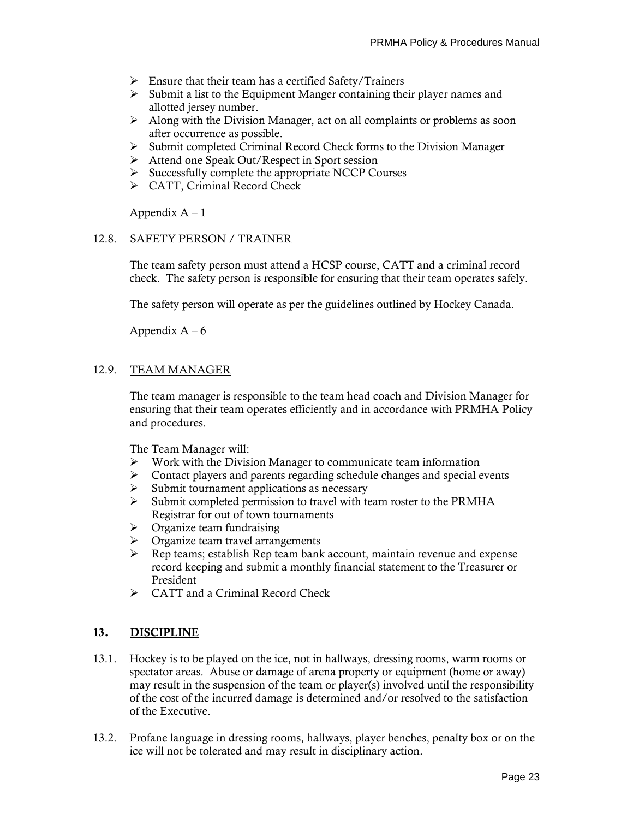- ➢ Ensure that their team has a certified Safety/Trainers
- ➢ Submit a list to the Equipment Manger containing their player names and allotted jersey number.
- $\triangleright$  Along with the Division Manager, act on all complaints or problems as soon after occurrence as possible.
- ➢ Submit completed Criminal Record Check forms to the Division Manager
- ➢ Attend one Speak Out/Respect in Sport session
- $\triangleright$  Successfully complete the appropriate NCCP Courses
- ➢ CATT, Criminal Record Check

#### 12.8. SAFETY PERSON / TRAINER

The team safety person must attend a HCSP course, CATT and a criminal record check. The safety person is responsible for ensuring that their team operates safely.

The safety person will operate as per the guidelines outlined by Hockey Canada.

Appendix  $A - 6$ 

# 12.9. TEAM MANAGER

The team manager is responsible to the team head coach and Division Manager for ensuring that their team operates efficiently and in accordance with PRMHA Policy and procedures.

The Team Manager will:

- ➢ Work with the Division Manager to communicate team information
- ➢ Contact players and parents regarding schedule changes and special events
- ➢ Submit tournament applications as necessary
- $\triangleright$  Submit completed permission to travel with team roster to the PRMHA Registrar for out of town tournaments
- $\triangleright$  Organize team fundraising
- ➢ Organize team travel arrangements
- ➢ Rep teams; establish Rep team bank account, maintain revenue and expense record keeping and submit a monthly financial statement to the Treasurer or President
- ➢ CATT and a Criminal Record Check

# **13. DISCIPLINE**

- 13.1. Hockey is to be played on the ice, not in hallways, dressing rooms, warm rooms or spectator areas. Abuse or damage of arena property or equipment (home or away) may result in the suspension of the team or player(s) involved until the responsibility of the cost of the incurred damage is determined and/or resolved to the satisfaction of the Executive.
- 13.2. Profane language in dressing rooms, hallways, player benches, penalty box or on the ice will not be tolerated and may result in disciplinary action.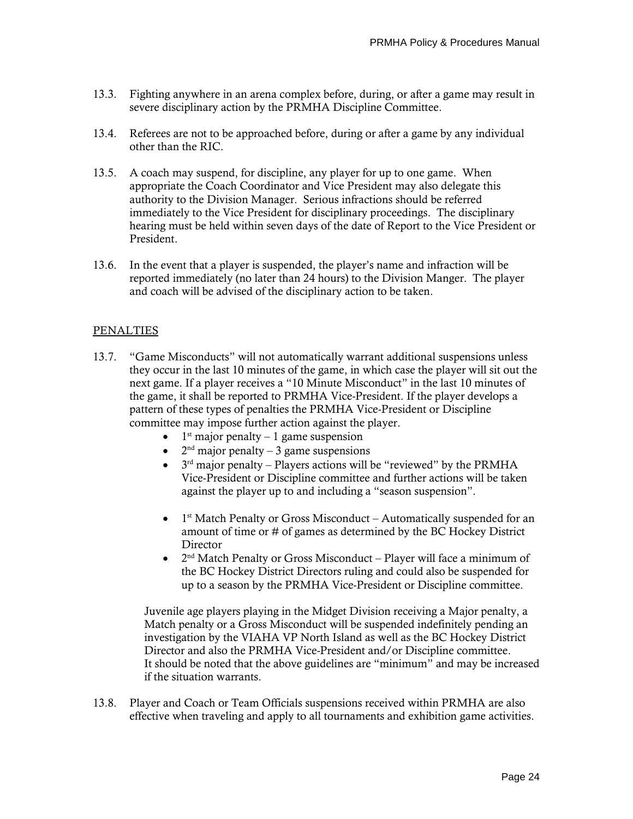- 13.3. Fighting anywhere in an arena complex before, during, or after a game may result in severe disciplinary action by the PRMHA Discipline Committee.
- 13.4. Referees are not to be approached before, during or after a game by any individual other than the RIC.
- 13.5. A coach may suspend, for discipline, any player for up to one game. When appropriate the Coach Coordinator and Vice President may also delegate this authority to the Division Manager. Serious infractions should be referred immediately to the Vice President for disciplinary proceedings. The disciplinary hearing must be held within seven days of the date of Report to the Vice President or President.
- 13.6. In the event that a player is suspended, the player's name and infraction will be reported immediately (no later than 24 hours) to the Division Manger. The player and coach will be advised of the disciplinary action to be taken.

# PENALTIES

- 13.7. "Game Misconducts" will not automatically warrant additional suspensions unless they occur in the last 10 minutes of the game, in which case the player will sit out the next game. If a player receives a "10 Minute Misconduct" in the last 10 minutes of the game, it shall be reported to PRMHA Vice-President. If the player develops a pattern of these types of penalties the PRMHA Vice-President or Discipline committee may impose further action against the player.
	- $\bullet$  1<sup>st</sup> major penalty 1 game suspension
	- $2<sup>nd</sup>$  major penalty 3 game suspensions
	- $\bullet$  3<sup>rd</sup> major penalty Players actions will be "reviewed" by the PRMHA Vice-President or Discipline committee and further actions will be taken against the player up to and including a "season suspension".
	- $\bullet$  1<sup>st</sup> Match Penalty or Gross Misconduct Automatically suspended for an amount of time or # of games as determined by the BC Hockey District **Director**
	- $2<sup>nd</sup>$  Match Penalty or Gross Misconduct Player will face a minimum of the BC Hockey District Directors ruling and could also be suspended for up to a season by the PRMHA Vice-President or Discipline committee.

Juvenile age players playing in the Midget Division receiving a Major penalty, a Match penalty or a Gross Misconduct will be suspended indefinitely pending an investigation by the VIAHA VP North Island as well as the BC Hockey District Director and also the PRMHA Vice-President and/or Discipline committee. It should be noted that the above guidelines are "minimum" and may be increased if the situation warrants.

13.8. Player and Coach or Team Officials suspensions received within PRMHA are also effective when traveling and apply to all tournaments and exhibition game activities.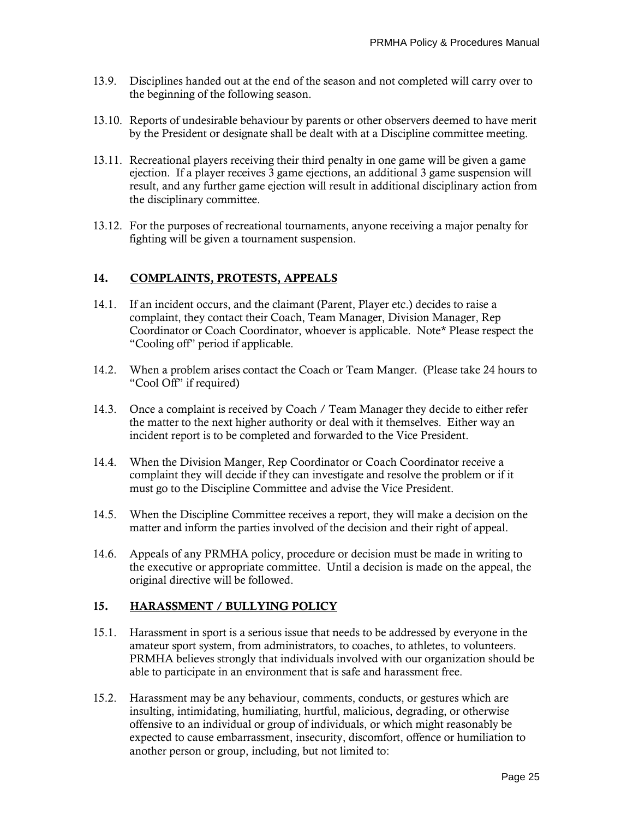- 13.9. Disciplines handed out at the end of the season and not completed will carry over to the beginning of the following season.
- 13.10. Reports of undesirable behaviour by parents or other observers deemed to have merit by the President or designate shall be dealt with at a Discipline committee meeting.
- 13.11. Recreational players receiving their third penalty in one game will be given a game ejection. If a player receives 3 game ejections, an additional 3 game suspension will result, and any further game ejection will result in additional disciplinary action from the disciplinary committee.
- 13.12. For the purposes of recreational tournaments, anyone receiving a major penalty for fighting will be given a tournament suspension.

# **14. COMPLAINTS, PROTESTS, APPEALS**

- 14.1. If an incident occurs, and the claimant (Parent, Player etc.) decides to raise a complaint, they contact their Coach, Team Manager, Division Manager, Rep Coordinator or Coach Coordinator, whoever is applicable. Note\* Please respect the "Cooling off" period if applicable.
- 14.2. When a problem arises contact the Coach or Team Manger. (Please take 24 hours to "Cool Off" if required)
- 14.3. Once a complaint is received by Coach / Team Manager they decide to either refer the matter to the next higher authority or deal with it themselves. Either way an incident report is to be completed and forwarded to the Vice President.
- 14.4. When the Division Manger, Rep Coordinator or Coach Coordinator receive a complaint they will decide if they can investigate and resolve the problem or if it must go to the Discipline Committee and advise the Vice President.
- 14.5. When the Discipline Committee receives a report, they will make a decision on the matter and inform the parties involved of the decision and their right of appeal.
- 14.6. Appeals of any PRMHA policy, procedure or decision must be made in writing to the executive or appropriate committee. Until a decision is made on the appeal, the original directive will be followed.

# **15. HARASSMENT / BULLYING POLICY**

- 15.1. Harassment in sport is a serious issue that needs to be addressed by everyone in the amateur sport system, from administrators, to coaches, to athletes, to volunteers. PRMHA believes strongly that individuals involved with our organization should be able to participate in an environment that is safe and harassment free.
- 15.2. Harassment may be any behaviour, comments, conducts, or gestures which are insulting, intimidating, humiliating, hurtful, malicious, degrading, or otherwise offensive to an individual or group of individuals, or which might reasonably be expected to cause embarrassment, insecurity, discomfort, offence or humiliation to another person or group, including, but not limited to: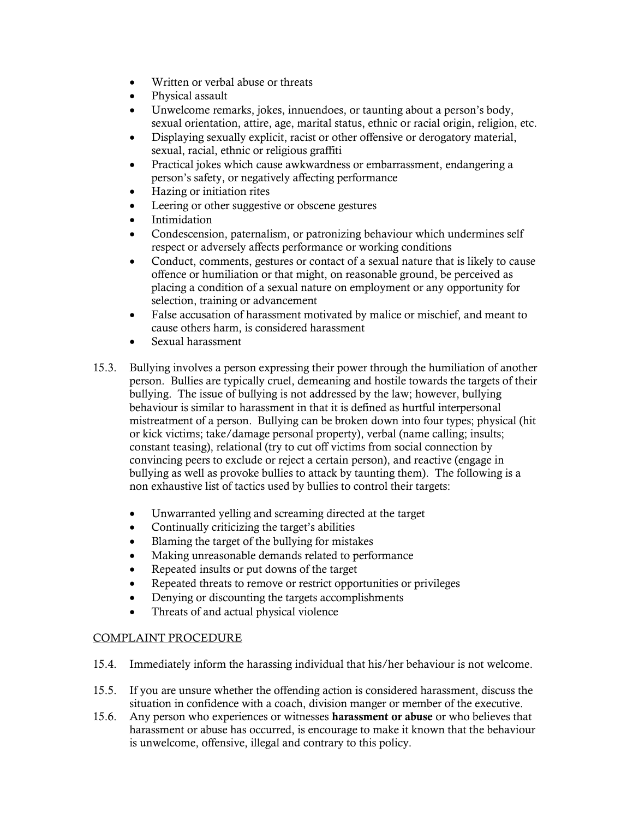- Written or verbal abuse or threats
- Physical assault
- Unwelcome remarks, jokes, innuendoes, or taunting about a person's body, sexual orientation, attire, age, marital status, ethnic or racial origin, religion, etc.
- Displaying sexually explicit, racist or other offensive or derogatory material, sexual, racial, ethnic or religious graffiti
- Practical jokes which cause awkwardness or embarrassment, endangering a person's safety, or negatively affecting performance
- Hazing or initiation rites
- Leering or other suggestive or obscene gestures
- Intimidation
- Condescension, paternalism, or patronizing behaviour which undermines self respect or adversely affects performance or working conditions
- Conduct, comments, gestures or contact of a sexual nature that is likely to cause offence or humiliation or that might, on reasonable ground, be perceived as placing a condition of a sexual nature on employment or any opportunity for selection, training or advancement
- False accusation of harassment motivated by malice or mischief, and meant to cause others harm, is considered harassment
- Sexual harassment
- 15.3. Bullying involves a person expressing their power through the humiliation of another person. Bullies are typically cruel, demeaning and hostile towards the targets of their bullying. The issue of bullying is not addressed by the law; however, bullying behaviour is similar to harassment in that it is defined as hurtful interpersonal mistreatment of a person. Bullying can be broken down into four types; physical (hit or kick victims; take/damage personal property), verbal (name calling; insults; constant teasing), relational (try to cut off victims from social connection by convincing peers to exclude or reject a certain person), and reactive (engage in bullying as well as provoke bullies to attack by taunting them). The following is a non exhaustive list of tactics used by bullies to control their targets:
	- Unwarranted yelling and screaming directed at the target
	- Continually criticizing the target's abilities
	- Blaming the target of the bullying for mistakes
	- Making unreasonable demands related to performance
	- Repeated insults or put downs of the target
	- Repeated threats to remove or restrict opportunities or privileges
	- Denying or discounting the targets accomplishments
	- Threats of and actual physical violence

# COMPLAINT PROCEDURE

- 15.4. Immediately inform the harassing individual that his/her behaviour is not welcome.
- 15.5. If you are unsure whether the offending action is considered harassment, discuss the situation in confidence with a coach, division manger or member of the executive.
- 15.6. Any person who experiences or witnesses **harassment or abuse** or who believes that harassment or abuse has occurred, is encourage to make it known that the behaviour is unwelcome, offensive, illegal and contrary to this policy.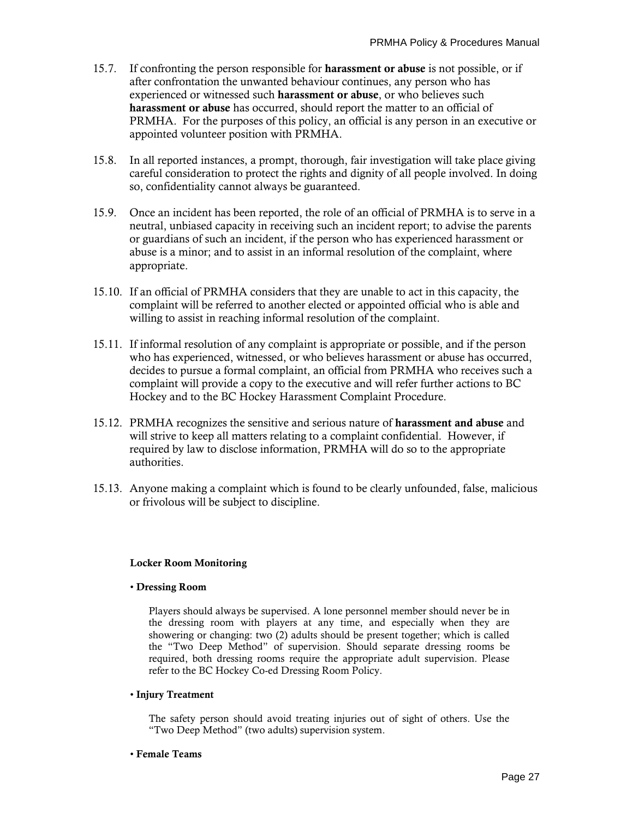- 15.7. If confronting the person responsible for **harassment or abuse** is not possible, or if after confrontation the unwanted behaviour continues, any person who has experienced or witnessed such **harassment or abuse**, or who believes such **harassment or abuse** has occurred, should report the matter to an official of PRMHA. For the purposes of this policy, an official is any person in an executive or appointed volunteer position with PRMHA.
- 15.8. In all reported instances, a prompt, thorough, fair investigation will take place giving careful consideration to protect the rights and dignity of all people involved. In doing so, confidentiality cannot always be guaranteed.
- 15.9. Once an incident has been reported, the role of an official of PRMHA is to serve in a neutral, unbiased capacity in receiving such an incident report; to advise the parents or guardians of such an incident, if the person who has experienced harassment or abuse is a minor; and to assist in an informal resolution of the complaint, where appropriate.
- 15.10. If an official of PRMHA considers that they are unable to act in this capacity, the complaint will be referred to another elected or appointed official who is able and willing to assist in reaching informal resolution of the complaint.
- 15.11. If informal resolution of any complaint is appropriate or possible, and if the person who has experienced, witnessed, or who believes harassment or abuse has occurred, decides to pursue a formal complaint, an official from PRMHA who receives such a complaint will provide a copy to the executive and will refer further actions to BC Hockey and to the BC Hockey Harassment Complaint Procedure.
- 15.12. PRMHA recognizes the sensitive and serious nature of **harassment and abuse** and will strive to keep all matters relating to a complaint confidential. However, if required by law to disclose information, PRMHA will do so to the appropriate authorities.
- 15.13. Anyone making a complaint which is found to be clearly unfounded, false, malicious or frivolous will be subject to discipline.

#### **Locker Room Monitoring**

#### • **Dressing Room**

Players should always be supervised. A lone personnel member should never be in the dressing room with players at any time, and especially when they are showering or changing: two (2) adults should be present together; which is called the "Two Deep Method" of supervision. Should separate dressing rooms be required, both dressing rooms require the appropriate adult supervision. Please refer to the BC Hockey Co-ed Dressing Room Policy.

#### • **Injury Treatment**

The safety person should avoid treating injuries out of sight of others. Use the "Two Deep Method" (two adults) supervision system.

#### • **Female Teams**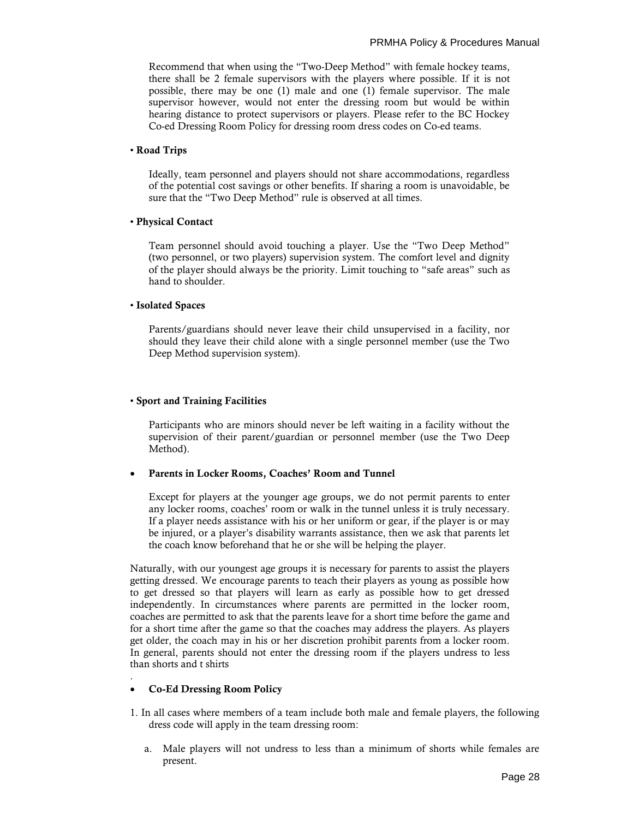Recommend that when using the "Two-Deep Method" with female hockey teams, there shall be 2 female supervisors with the players where possible. If it is not possible, there may be one (1) male and one (1) female supervisor. The male supervisor however, would not enter the dressing room but would be within hearing distance to protect supervisors or players. Please refer to the BC Hockey Co-ed Dressing Room Policy for dressing room dress codes on Co-ed teams.

#### • **Road Trips**

Ideally, team personnel and players should not share accommodations, regardless of the potential cost savings or other benefits. If sharing a room is unavoidable, be sure that the "Two Deep Method" rule is observed at all times.

#### • **Physical Contact**

Team personnel should avoid touching a player. Use the "Two Deep Method" (two personnel, or two players) supervision system. The comfort level and dignity of the player should always be the priority. Limit touching to "safe areas" such as hand to shoulder.

#### • **Isolated Spaces**

Parents/guardians should never leave their child unsupervised in a facility, nor should they leave their child alone with a single personnel member (use the Two Deep Method supervision system).

#### • **Sport and Training Facilities**

Participants who are minors should never be left waiting in a facility without the supervision of their parent/guardian or personnel member (use the Two Deep Method).

#### • **Parents in Locker Rooms, Coaches' Room and Tunnel**

Except for players at the younger age groups, we do not permit parents to enter any locker rooms, coaches' room or walk in the tunnel unless it is truly necessary. If a player needs assistance with his or her uniform or gear, if the player is or may be injured, or a player's disability warrants assistance, then we ask that parents let the coach know beforehand that he or she will be helping the player.

Naturally, with our youngest age groups it is necessary for parents to assist the players getting dressed. We encourage parents to teach their players as young as possible how to get dressed so that players will learn as early as possible how to get dressed independently. In circumstances where parents are permitted in the locker room, coaches are permitted to ask that the parents leave for a short time before the game and for a short time after the game so that the coaches may address the players. As players get older, the coach may in his or her discretion prohibit parents from a locker room. In general, parents should not enter the dressing room if the players undress to less than shorts and t shirts

#### • **Co-Ed Dressing Room Policy**

.

- 1. In all cases where members of a team include both male and female players, the following dress code will apply in the team dressing room:
	- a. Male players will not undress to less than a minimum of shorts while females are present.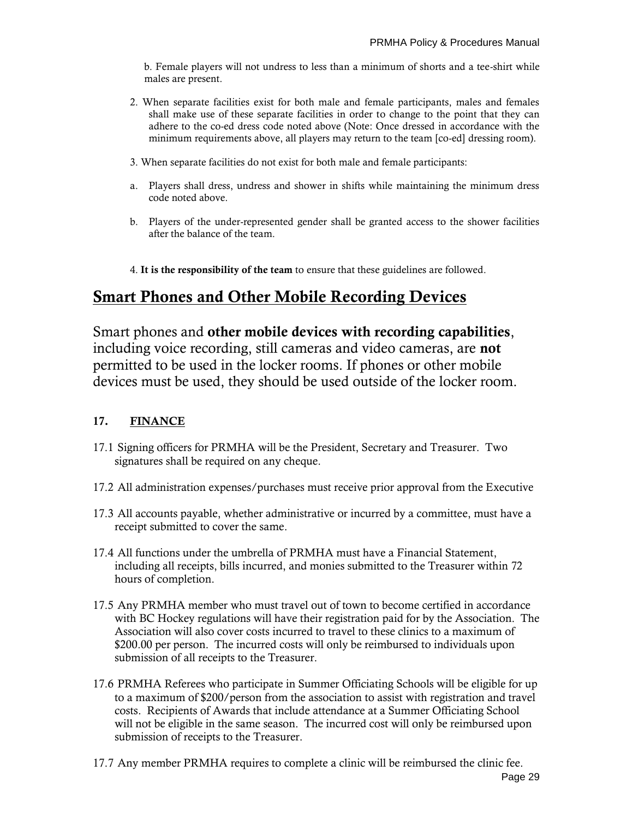b. Female players will not undress to less than a minimum of shorts and a tee-shirt while males are present.

- 2. When separate facilities exist for both male and female participants, males and females shall make use of these separate facilities in order to change to the point that they can adhere to the co-ed dress code noted above (Note: Once dressed in accordance with the minimum requirements above, all players may return to the team [co-ed] dressing room).
- 3. When separate facilities do not exist for both male and female participants:
- a. Players shall dress, undress and shower in shifts while maintaining the minimum dress code noted above.
- b. Players of the under-represented gender shall be granted access to the shower facilities after the balance of the team.
- 4. **It is the responsibility of the team** to ensure that these guidelines are followed.

# **Smart Phones and Other Mobile Recording Devices**

Smart phones and **other mobile devices with recording capabilities**, including voice recording, still cameras and video cameras, are **not** permitted to be used in the locker rooms. If phones or other mobile devices must be used, they should be used outside of the locker room.

# **17. FINANCE**

- 17.1 Signing officers for PRMHA will be the President, Secretary and Treasurer. Two signatures shall be required on any cheque.
- 17.2 All administration expenses/purchases must receive prior approval from the Executive
- 17.3 All accounts payable, whether administrative or incurred by a committee, must have a receipt submitted to cover the same.
- 17.4 All functions under the umbrella of PRMHA must have a Financial Statement, including all receipts, bills incurred, and monies submitted to the Treasurer within 72 hours of completion.
- 17.5 Any PRMHA member who must travel out of town to become certified in accordance with BC Hockey regulations will have their registration paid for by the Association. The Association will also cover costs incurred to travel to these clinics to a maximum of \$200.00 per person. The incurred costs will only be reimbursed to individuals upon submission of all receipts to the Treasurer.
- 17.6 PRMHA Referees who participate in Summer Officiating Schools will be eligible for up to a maximum of \$200/person from the association to assist with registration and travel costs. Recipients of Awards that include attendance at a Summer Officiating School will not be eligible in the same season. The incurred cost will only be reimbursed upon submission of receipts to the Treasurer.
- 17.7 Any member PRMHA requires to complete a clinic will be reimbursed the clinic fee.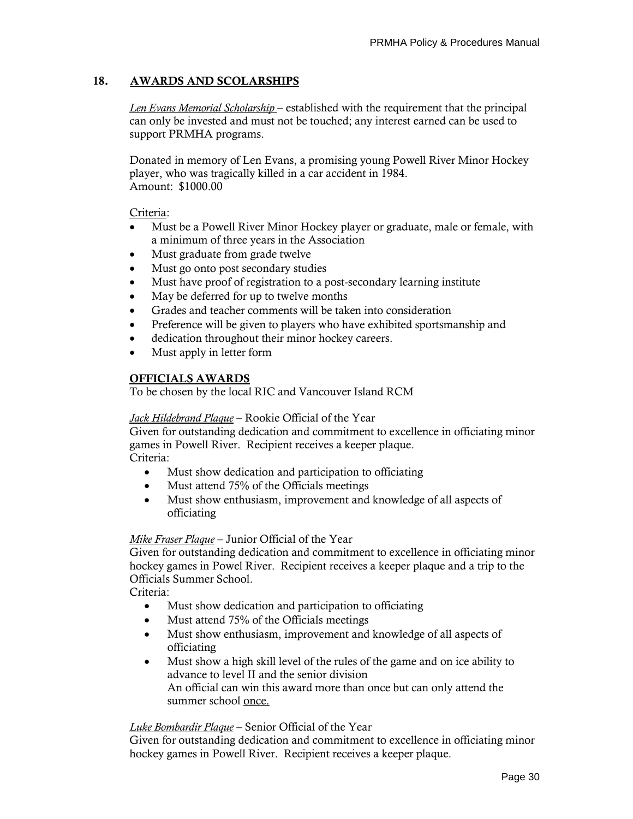# **18. AWARDS AND SCOLARSHIPS**

*Len Evans Memorial Scholarship* – established with the requirement that the principal can only be invested and must not be touched; any interest earned can be used to support PRMHA programs.

Donated in memory of Len Evans, a promising young Powell River Minor Hockey player, who was tragically killed in a car accident in 1984. Amount: \$1000.00

#### Criteria:

- Must be a Powell River Minor Hockey player or graduate, male or female, with a minimum of three years in the Association
- Must graduate from grade twelve
- Must go onto post secondary studies
- Must have proof of registration to a post-secondary learning institute
- May be deferred for up to twelve months
- Grades and teacher comments will be taken into consideration
- Preference will be given to players who have exhibited sportsmanship and
- dedication throughout their minor hockey careers.
- Must apply in letter form

# **OFFICIALS AWARDS**

To be chosen by the local RIC and Vancouver Island RCM

#### *Jack Hildebrand Plaque* – Rookie Official of the Year

Given for outstanding dedication and commitment to excellence in officiating minor games in Powell River. Recipient receives a keeper plaque. Criteria:

- Must show dedication and participation to officiating
- Must attend 75% of the Officials meetings
- Must show enthusiasm, improvement and knowledge of all aspects of officiating

#### *Mike Fraser Plaque* – Junior Official of the Year

Given for outstanding dedication and commitment to excellence in officiating minor hockey games in Powel River. Recipient receives a keeper plaque and a trip to the Officials Summer School.

Criteria:

- Must show dedication and participation to officiating
- Must attend 75% of the Officials meetings
- Must show enthusiasm, improvement and knowledge of all aspects of officiating
- Must show a high skill level of the rules of the game and on ice ability to advance to level II and the senior division An official can win this award more than once but can only attend the summer school once.

#### *Luke Bombardir Plaque* – Senior Official of the Year

Given for outstanding dedication and commitment to excellence in officiating minor hockey games in Powell River. Recipient receives a keeper plaque.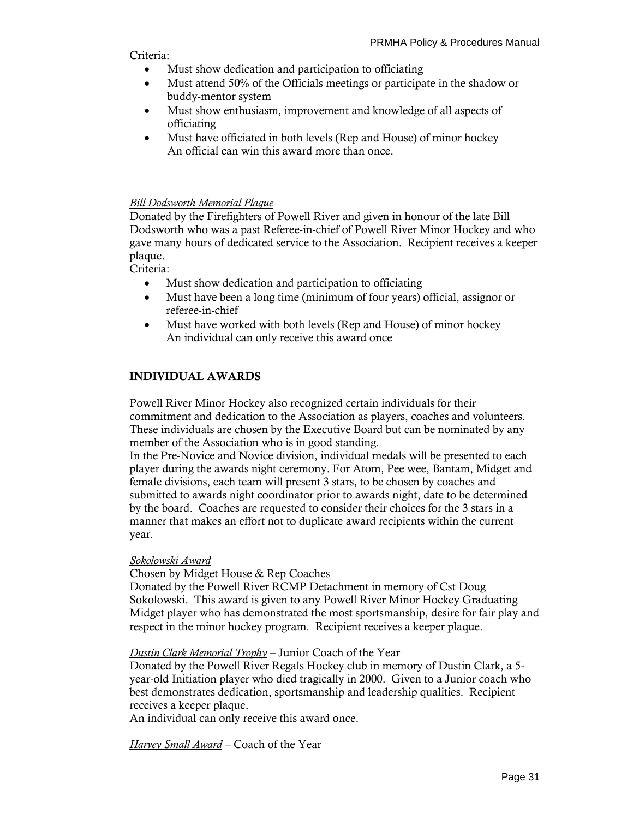Criteria:

- Must show dedication and participation to officiating
- Must attend 50% of the Officials meetings or participate in the shadow or buddy-mentor system
- Must show enthusiasm, improvement and knowledge of all aspects of officiating
- Must have officiated in both levels (Rep and House) of minor hockey An official can win this award more than once.

# *Bill Dodsworth Memorial Plaque*

Donated by the Firefighters of Powell River and given in honour of the late Bill Dodsworth who was a past Referee-in-chief of Powell River Minor Hockey and who gave many hours of dedicated service to the Association. Recipient receives a keeper plaque.

Criteria:

- Must show dedication and participation to officiating
- Must have been a long time (minimum of four years) official, assignor or referee-in-chief
- Must have worked with both levels (Rep and House) of minor hockey An individual can only receive this award once

# **INDIVIDUAL AWARDS**

Powell River Minor Hockey also recognized certain individuals for their commitment and dedication to the Association as players, coaches and volunteers. These individuals are chosen by the Executive Board but can be nominated by any member of the Association who is in good standing.

In the Pre-Novice and Novice division, individual medals will be presented to each player during the awards night ceremony. For Atom, Pee wee, Bantam, Midget and female divisions, each team will present 3 stars, to be chosen by coaches and submitted to awards night coordinator prior to awards night, date to be determined by the board. Coaches are requested to consider their choices for the 3 stars in a manner that makes an effort not to duplicate award recipients within the current year.

#### *Sokolowski Award*

Chosen by Midget House & Rep Coaches

Donated by the Powell River RCMP Detachment in memory of Cst Doug Sokolowski. This award is given to any Powell River Minor Hockey Graduating Midget player who has demonstrated the most sportsmanship, desire for fair play and respect in the minor hockey program. Recipient receives a keeper plaque.

*Dustin Clark Memorial Trophy* – Junior Coach of the Year

Donated by the Powell River Regals Hockey club in memory of Dustin Clark, a 5 year-old Initiation player who died tragically in 2000. Given to a Junior coach who best demonstrates dedication, sportsmanship and leadership qualities. Recipient receives a keeper plaque.

An individual can only receive this award once.

*Harvey Small Award* – Coach of the Year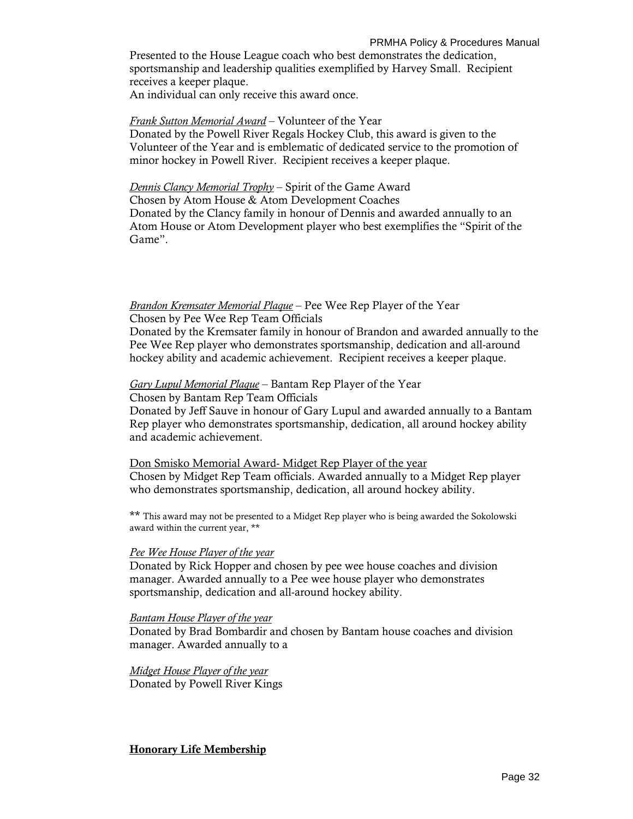PRMHA Policy & Procedures Manual Presented to the House League coach who best demonstrates the dedication, sportsmanship and leadership qualities exemplified by Harvey Small. Recipient receives a keeper plaque. An individual can only receive this award once.

#### *Frank Sutton Memorial Award* – Volunteer of the Year

Donated by the Powell River Regals Hockey Club, this award is given to the Volunteer of the Year and is emblematic of dedicated service to the promotion of minor hockey in Powell River. Recipient receives a keeper plaque.

# *Dennis Clancy Memorial Trophy* – Spirit of the Game Award

Chosen by Atom House & Atom Development Coaches Donated by the Clancy family in honour of Dennis and awarded annually to an Atom House or Atom Development player who best exemplifies the "Spirit of the Game".

# *Brandon Kremsater Memorial Plaque* – Pee Wee Rep Player of the Year

Chosen by Pee Wee Rep Team Officials

Donated by the Kremsater family in honour of Brandon and awarded annually to the Pee Wee Rep player who demonstrates sportsmanship, dedication and all-around hockey ability and academic achievement. Recipient receives a keeper plaque.

# *Gary Lupul Memorial Plaque* – Bantam Rep Player of the Year

Chosen by Bantam Rep Team Officials

Donated by Jeff Sauve in honour of Gary Lupul and awarded annually to a Bantam Rep player who demonstrates sportsmanship, dedication, all around hockey ability and academic achievement.

Don Smisko Memorial Award- Midget Rep Player of the year Chosen by Midget Rep Team officials. Awarded annually to a Midget Rep player who demonstrates sportsmanship, dedication, all around hockey ability.

\*\* This award may not be presented to a Midget Rep player who is being awarded the Sokolowski award within the current year, \*\*

#### *Pee Wee House Player of the year*

Donated by Rick Hopper and chosen by pee wee house coaches and division manager. Awarded annually to a Pee wee house player who demonstrates sportsmanship, dedication and all-around hockey ability.

#### *Bantam House Player of the year*

Donated by Brad Bombardir and chosen by Bantam house coaches and division manager. Awarded annually to a

*Midget House Player of the year* Donated by Powell River Kings

**Honorary Life Membership**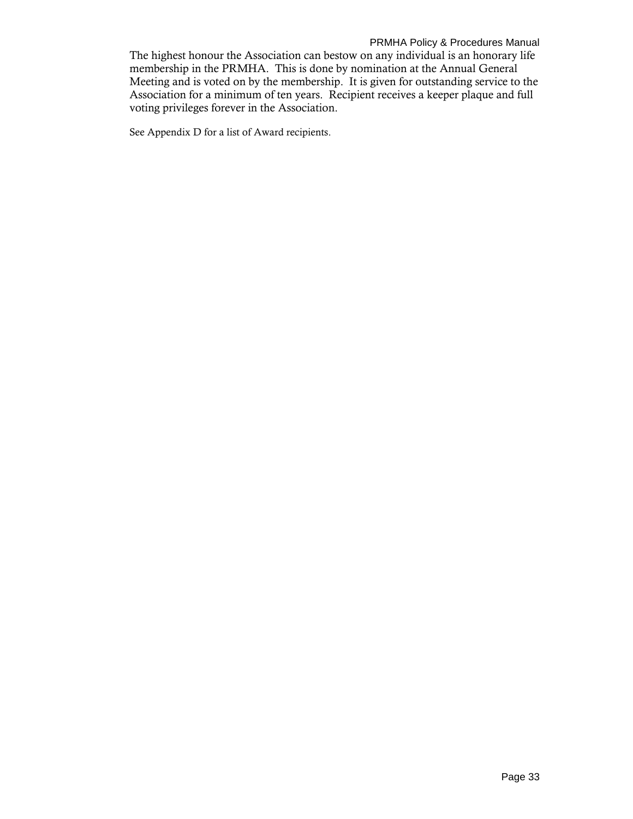The highest honour the Association can bestow on any individual is an honorary life membership in the PRMHA. This is done by nomination at the Annual General Meeting and is voted on by the membership. It is given for outstanding service to the Association for a minimum of ten years. Recipient receives a keeper plaque and full voting privileges forever in the Association.

See Appendix D for a list of Award recipients.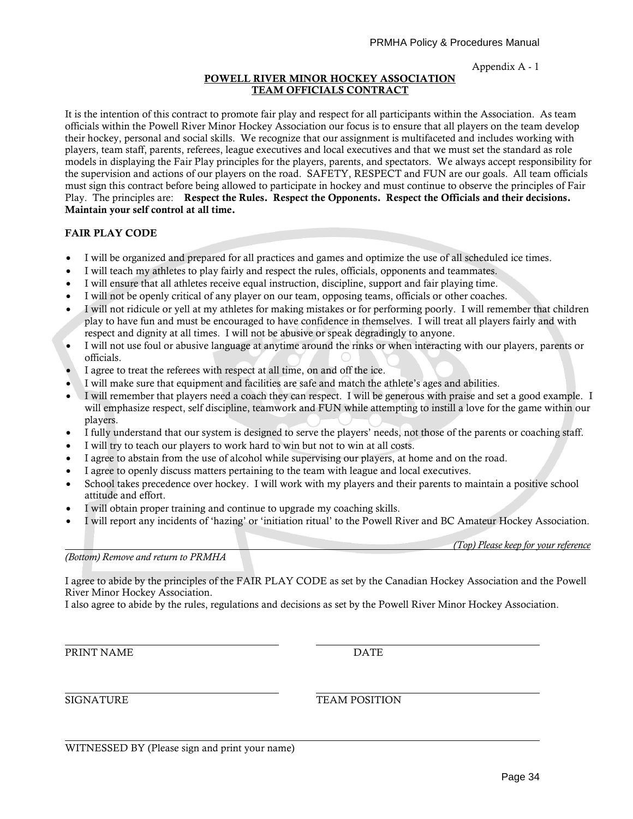#### **POWELL RIVER MINOR HOCKEY ASSOCIATION TEAM OFFICIALS CONTRACT**

It is the intention of this contract to promote fair play and respect for all participants within the Association. As team officials within the Powell River Minor Hockey Association our focus is to ensure that all players on the team develop their hockey, personal and social skills. We recognize that our assignment is multifaceted and includes working with players, team staff, parents, referees, league executives and local executives and that we must set the standard as role models in displaying the Fair Play principles for the players, parents, and spectators. We always accept responsibility for the supervision and actions of our players on the road. SAFETY, RESPECT and FUN are our goals. All team officials must sign this contract before being allowed to participate in hockey and must continue to observe the principles of Fair Play. The principles are: **Respect the Rules. Respect the Opponents. Respect the Officials and their decisions. Maintain your self control at all time.**

# **FAIR PLAY CODE**

- I will be organized and prepared for all practices and games and optimize the use of all scheduled ice times.
- I will teach my athletes to play fairly and respect the rules, officials, opponents and teammates.
- I will ensure that all athletes receive equal instruction, discipline, support and fair playing time.
- I will not be openly critical of any player on our team, opposing teams, officials or other coaches.
- I will not ridicule or yell at my athletes for making mistakes or for performing poorly. I will remember that children play to have fun and must be encouraged to have confidence in themselves. I will treat all players fairly and with respect and dignity at all times. I will not be abusive or speak degradingly to anyone.
- I will not use foul or abusive language at anytime around the rinks or when interacting with our players, parents or officials.
- I agree to treat the referees with respect at all time, on and off the ice.
- I will make sure that equipment and facilities are safe and match the athlete's ages and abilities.
- I will remember that players need a coach they can respect. I will be generous with praise and set a good example. I will emphasize respect, self discipline, teamwork and FUN while attempting to instill a love for the game within our players.
- I fully understand that our system is designed to serve the players' needs, not those of the parents or coaching staff.
- I will try to teach our players to work hard to win but not to win at all costs.
- I agree to abstain from the use of alcohol while supervising our players, at home and on the road.
- I agree to openly discuss matters pertaining to the team with league and local executives.
- School takes precedence over hockey. I will work with my players and their parents to maintain a positive school attitude and effort.
- I will obtain proper training and continue to upgrade my coaching skills.
- I will report any incidents of 'hazing' or 'initiation ritual' to the Powell River and BC Amateur Hockey Association.

*(Top) Please keep for your reference*

*(Bottom) Remove and return to PRMHA*

I agree to abide by the principles of the FAIR PLAY CODE as set by the Canadian Hockey Association and the Powell River Minor Hockey Association.

I also agree to abide by the rules, regulations and decisions as set by the Powell River Minor Hockey Association.

PRINT NAME DATE

SIGNATURE TEAM POSITION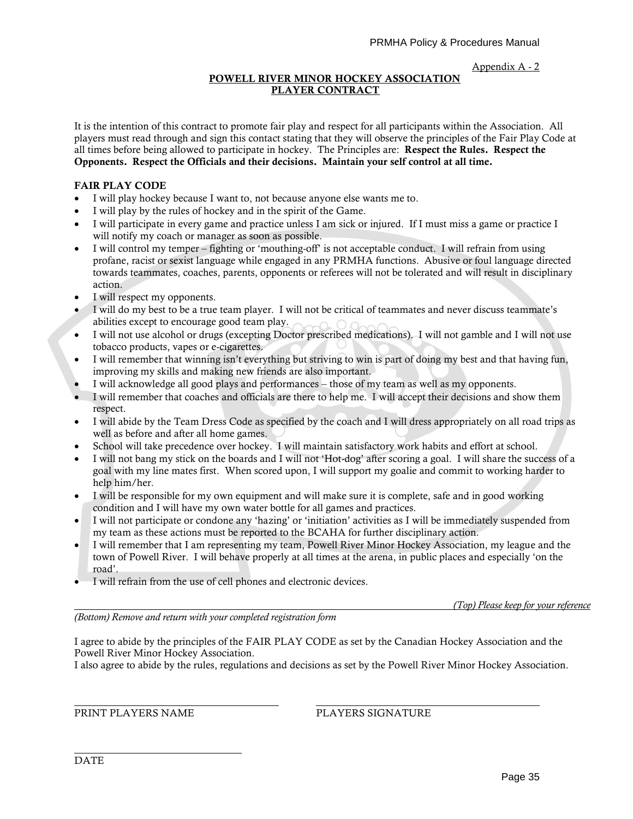#### **POWELL RIVER MINOR HOCKEY ASSOCIATION PLAYER CONTRACT**

It is the intention of this contract to promote fair play and respect for all participants within the Association. All players must read through and sign this contact stating that they will observe the principles of the Fair Play Code at all times before being allowed to participate in hockey. The Principles are: **Respect the Rules. Respect the Opponents. Respect the Officials and their decisions. Maintain your self control at all time.**

#### **FAIR PLAY CODE**

- I will play hockey because I want to, not because anyone else wants me to.
- I will play by the rules of hockey and in the spirit of the Game.
- I will participate in every game and practice unless I am sick or injured. If I must miss a game or practice I will notify my coach or manager as soon as possible.
- I will control my temper fighting or 'mouthing-off' is not acceptable conduct. I will refrain from using profane, racist or sexist language while engaged in any PRMHA functions. Abusive or foul language directed towards teammates, coaches, parents, opponents or referees will not be tolerated and will result in disciplinary action.
- I will respect my opponents.
- I will do my best to be a true team player. I will not be critical of teammates and never discuss teammate's abilities except to encourage good team play.
- I will not use alcohol or drugs (excepting Doctor prescribed medications). I will not gamble and I will not use tobacco products, vapes or e-cigarettes.
- I will remember that winning isn't everything but striving to win is part of doing my best and that having fun, improving my skills and making new friends are also important.
- I will acknowledge all good plays and performances those of my team as well as my opponents.
- I will remember that coaches and officials are there to help me. I will accept their decisions and show them respect.
- I will abide by the Team Dress Code as specified by the coach and I will dress appropriately on all road trips as well as before and after all home games.
- School will take precedence over hockey. I will maintain satisfactory work habits and effort at school.
- I will not bang my stick on the boards and I will not 'Hot-dog' after scoring a goal. I will share the success of a goal with my line mates first. When scored upon, I will support my goalie and commit to working harder to help him/her.
- I will be responsible for my own equipment and will make sure it is complete, safe and in good working condition and I will have my own water bottle for all games and practices.
- I will not participate or condone any 'hazing' or 'initiation' activities as I will be immediately suspended from my team as these actions must be reported to the BCAHA for further disciplinary action.
- I will remember that I am representing my team, Powell River Minor Hockey Association, my league and the town of Powell River. I will behave properly at all times at the arena, in public places and especially 'on the road'.
- I will refrain from the use of cell phones and electronic devices.

*(Top) Please keep for your reference*

*(Bottom) Remove and return with your completed registration form*

I agree to abide by the principles of the FAIR PLAY CODE as set by the Canadian Hockey Association and the Powell River Minor Hockey Association.

I also agree to abide by the rules, regulations and decisions as set by the Powell River Minor Hockey Association.

PRINT PLAYERS NAME PLAYERS SIGNATURE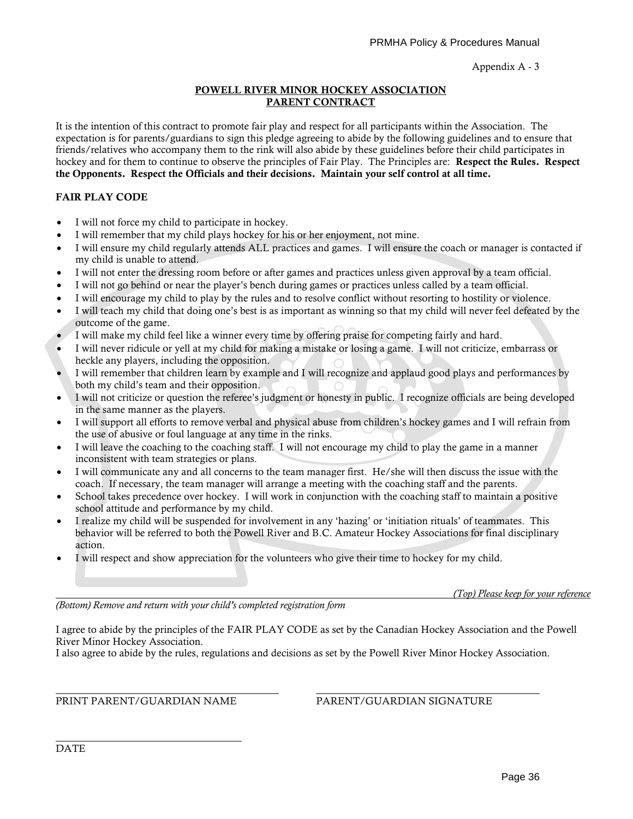#### **POWELL RIVER MINOR HOCKEY ASSOCIATION PARENT CONTRACT**

It is the intention of this contract to promote fair play and respect for all participants within the Association. The expectation is for parents/guardians to sign this pledge agreeing to abide by the following guidelines and to ensure that friends/relatives who accompany them to the rink will also abide by these guidelines before their child participates in hockey and for them to continue to observe the principles of Fair Play. The Principles are: **Respect the Rules. Respect the Opponents. Respect the Officials and their decisions. Maintain your self control at all time.**

# **FAIR PLAY CODE**

- I will not force my child to participate in hockey.
- I will remember that my child plays hockey for his or her enjoyment, not mine.
- I will ensure my child regularly attends ALL practices and games. I will ensure the coach or manager is contacted if my child is unable to attend.
- I will not enter the dressing room before or after games and practices unless given approval by a team official.
- I will not go behind or near the player's bench during games or practices unless called by a team official.
- I will encourage my child to play by the rules and to resolve conflict without resorting to hostility or violence.
- I will teach my child that doing one's best is as important as winning so that my child will never feel defeated by the outcome of the game.
- I will make my child feel like a winner every time by offering praise for competing fairly and hard.
- I will never ridicule or yell at my child for making a mistake or losing a game. I will not criticize, embarrass or heckle any players, including the opposition.
- I will remember that children learn by example and I will recognize and applaud good plays and performances by both my child's team and their opposition.
- I will not criticize or question the referee's judgment or honesty in public. I recognize officials are being developed in the same manner as the players.
- I will support all efforts to remove verbal and physical abuse from children's hockey games and I will refrain from the use of abusive or foul language at any time in the rinks.
- I will leave the coaching to the coaching staff. I will not encourage my child to play the game in a manner inconsistent with team strategies or plans.
- I will communicate any and all concerns to the team manager first. He/she will then discuss the issue with the coach. If necessary, the team manager will arrange a meeting with the coaching staff and the parents.
- School takes precedence over hockey. I will work in conjunction with the coaching staff to maintain a positive school attitude and performance by my child.
- I realize my child will be suspended for involvement in any 'hazing' or 'initiation rituals' of teammates. This behavior will be referred to both the Powell River and B.C. Amateur Hockey Associations for final disciplinary action.
- I will respect and show appreciation for the volunteers who give their time to hockey for my child.

*(Top) Please keep for your reference*

*(Bottom) Remove and return with your child's completed registration form*

I agree to abide by the principles of the FAIR PLAY CODE as set by the Canadian Hockey Association and the Powell River Minor Hockey Association.

I also agree to abide by the rules, regulations and decisions as set by the Powell River Minor Hockey Association.

PRINT PARENT/GUARDIAN NAME PARENT/GUARDIAN SIGNATURE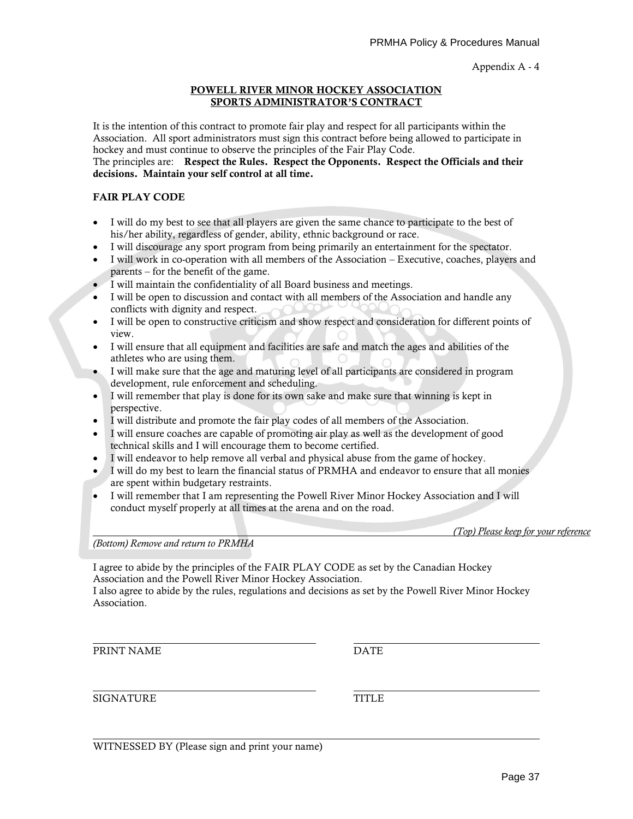#### **POWELL RIVER MINOR HOCKEY ASSOCIATION SPORTS ADMINISTRATOR'S CONTRACT**

It is the intention of this contract to promote fair play and respect for all participants within the Association. All sport administrators must sign this contract before being allowed to participate in hockey and must continue to observe the principles of the Fair Play Code.

The principles are: **Respect the Rules. Respect the Opponents. Respect the Officials and their decisions. Maintain your self control at all time.**

#### **FAIR PLAY CODE**

- I will do my best to see that all players are given the same chance to participate to the best of his/her ability, regardless of gender, ability, ethnic background or race.
- I will discourage any sport program from being primarily an entertainment for the spectator.
- I will work in co-operation with all members of the Association Executive, coaches, players and parents – for the benefit of the game.
- I will maintain the confidentiality of all Board business and meetings.
- I will be open to discussion and contact with all members of the Association and handle any conflicts with dignity and respect.
- I will be open to constructive criticism and show respect and consideration for different points of view.
- I will ensure that all equipment and facilities are safe and match the ages and abilities of the athletes who are using them.
- I will make sure that the age and maturing level of all participants are considered in program development, rule enforcement and scheduling.
- I will remember that play is done for its own sake and make sure that winning is kept in perspective.
- I will distribute and promote the fair play codes of all members of the Association.
- I will ensure coaches are capable of promoting air play as well as the development of good technical skills and I will encourage them to become certified.
- I will endeavor to help remove all verbal and physical abuse from the game of hockey.
- I will do my best to learn the financial status of PRMHA and endeavor to ensure that all monies are spent within budgetary restraints.
- I will remember that I am representing the Powell River Minor Hockey Association and I will conduct myself properly at all times at the arena and on the road.

*(Top) Please keep for your reference*

*(Bottom) Remove and return to PRMHA*

I agree to abide by the principles of the FAIR PLAY CODE as set by the Canadian Hockey Association and the Powell River Minor Hockey Association.

I also agree to abide by the rules, regulations and decisions as set by the Powell River Minor Hockey Association.

PRINT NAME DATE

SIGNATURE TITLE

WITNESSED BY (Please sign and print your name)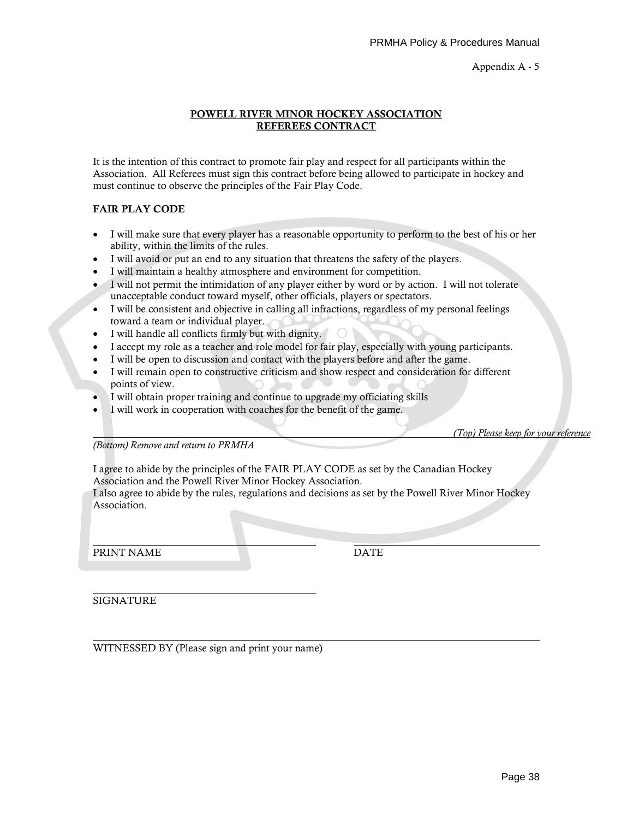#### **POWELL RIVER MINOR HOCKEY ASSOCIATION REFEREES CONTRACT**

It is the intention of this contract to promote fair play and respect for all participants within the Association. All Referees must sign this contract before being allowed to participate in hockey and must continue to observe the principles of the Fair Play Code.

#### **FAIR PLAY CODE**

- I will make sure that every player has a reasonable opportunity to perform to the best of his or her ability, within the limits of the rules.
- I will avoid or put an end to any situation that threatens the safety of the players.
- I will maintain a healthy atmosphere and environment for competition.
- I will not permit the intimidation of any player either by word or by action. I will not tolerate unacceptable conduct toward myself, other officials, players or spectators.
- I will be consistent and objective in calling all infractions, regardless of my personal feelings toward a team or individual player.
- I will handle all conflicts firmly but with dignity.
- I accept my role as a teacher and role model for fair play, especially with young participants.
- I will be open to discussion and contact with the players before and after the game.
- I will remain open to constructive criticism and show respect and consideration for different points of view.
- I will obtain proper training and continue to upgrade my officiating skills
- I will work in cooperation with coaches for the benefit of the game.

*(Top) Please keep for your reference*

*(Bottom) Remove and return to PRMHA*

I agree to abide by the principles of the FAIR PLAY CODE as set by the Canadian Hockey Association and the Powell River Minor Hockey Association.

I also agree to abide by the rules, regulations and decisions as set by the Powell River Minor Hockey Association.

PRINT NAME DATE

**SIGNATURE** 

WITNESSED BY (Please sign and print your name)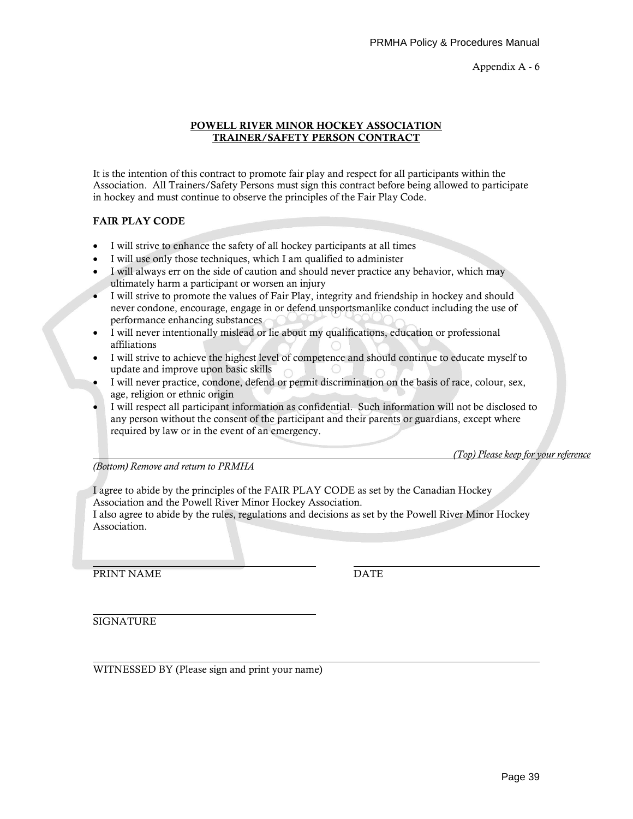#### **POWELL RIVER MINOR HOCKEY ASSOCIATION TRAINER/SAFETY PERSON CONTRACT**

It is the intention of this contract to promote fair play and respect for all participants within the Association. All Trainers/Safety Persons must sign this contract before being allowed to participate in hockey and must continue to observe the principles of the Fair Play Code.

#### **FAIR PLAY CODE**

- I will strive to enhance the safety of all hockey participants at all times
- I will use only those techniques, which I am qualified to administer
- I will always err on the side of caution and should never practice any behavior, which may ultimately harm a participant or worsen an injury
- I will strive to promote the values of Fair Play, integrity and friendship in hockey and should never condone, encourage, engage in or defend unsportsmanlike conduct including the use of performance enhancing substances
- I will never intentionally mislead or lie about my qualifications, education or professional affiliations
- I will strive to achieve the highest level of competence and should continue to educate myself to update and improve upon basic skills
- I will never practice, condone, defend or permit discrimination on the basis of race, colour, sex, age, religion or ethnic origin
- I will respect all participant information as confidential. Such information will not be disclosed to any person without the consent of the participant and their parents or guardians, except where required by law or in the event of an emergency.

*(Top) Please keep for your reference*

*(Bottom) Remove and return to PRMHA*

I agree to abide by the principles of the FAIR PLAY CODE as set by the Canadian Hockey Association and the Powell River Minor Hockey Association.

I also agree to abide by the rules, regulations and decisions as set by the Powell River Minor Hockey Association.

PRINT NAME DATE

SIGNATURE

WITNESSED BY (Please sign and print your name)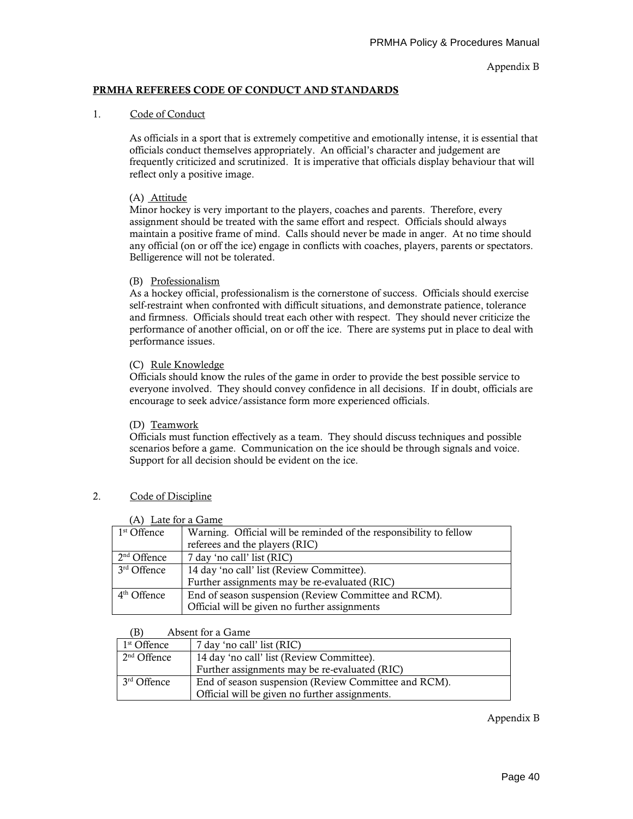#### **PRMHA REFEREES CODE OF CONDUCT AND STANDARDS**

#### 1. Code of Conduct

As officials in a sport that is extremely competitive and emotionally intense, it is essential that officials conduct themselves appropriately. An official's character and judgement are frequently criticized and scrutinized. It is imperative that officials display behaviour that will reflect only a positive image.

#### (A) Attitude

Minor hockey is very important to the players, coaches and parents. Therefore, every assignment should be treated with the same effort and respect. Officials should always maintain a positive frame of mind. Calls should never be made in anger. At no time should any official (on or off the ice) engage in conflicts with coaches, players, parents or spectators. Belligerence will not be tolerated.

#### (B) Professionalism

As a hockey official, professionalism is the cornerstone of success. Officials should exercise self-restraint when confronted with difficult situations, and demonstrate patience, tolerance and firmness. Officials should treat each other with respect. They should never criticize the performance of another official, on or off the ice. There are systems put in place to deal with performance issues.

#### (C) Rule Knowledge

Officials should know the rules of the game in order to provide the best possible service to everyone involved. They should convey confidence in all decisions. If in doubt, officials are encourage to seek advice/assistance form more experienced officials.

#### (D) Teamwork

Officials must function effectively as a team. They should discuss techniques and possible scenarios before a game. Communication on the ice should be through signals and voice. Support for all decision should be evident on the ice.

#### 2. Code of Discipline

| (1) Law Ivi a Oaim      |                                                                    |
|-------------------------|--------------------------------------------------------------------|
| 1 <sup>st</sup> Offence | Warning. Official will be reminded of the responsibility to fellow |
|                         | referees and the players (RIC)                                     |
| $2nd$ Offence           | 7 day 'no call' list (RIC)                                         |
| 3rd Offence             | 14 day 'no call' list (Review Committee).                          |
|                         | Further assignments may be re-evaluated (RIC)                      |
| $4th$ Offence           | End of season suspension (Review Committee and RCM).               |
|                         | Official will be given no further assignments                      |

#### (A) Late for a Game

#### (B) Absent for a Game

| 1 <sup>st</sup> Offence | 7 day 'no call' list (RIC)                           |
|-------------------------|------------------------------------------------------|
| $2nd$ Offence           | 14 day 'no call' list (Review Committee).            |
|                         | Further assignments may be re-evaluated (RIC)        |
| 3 <sup>rd</sup> Offence | End of season suspension (Review Committee and RCM). |
|                         | Official will be given no further assignments.       |

Appendix B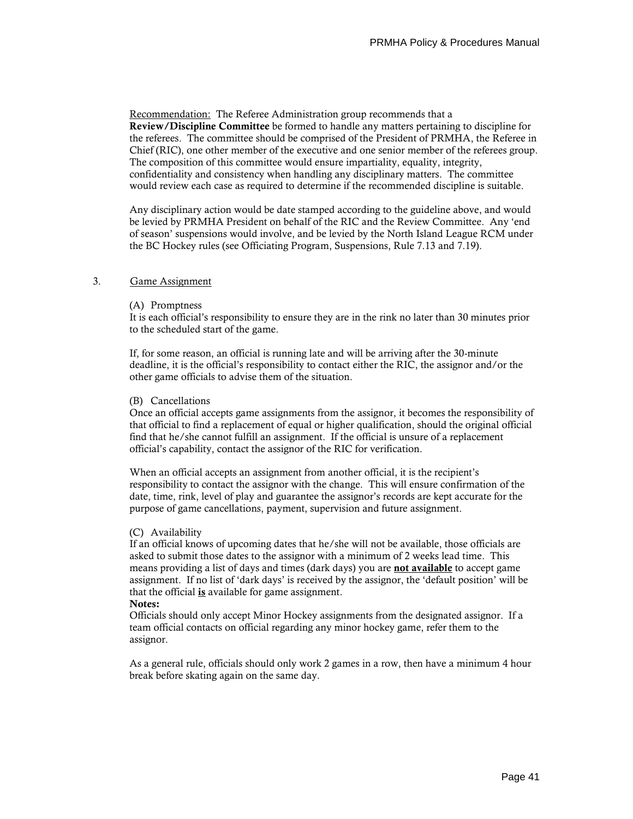Recommendation: The Referee Administration group recommends that a **Review/Discipline Committee** be formed to handle any matters pertaining to discipline for the referees. The committee should be comprised of the President of PRMHA, the Referee in Chief (RIC), one other member of the executive and one senior member of the referees group. The composition of this committee would ensure impartiality, equality, integrity, confidentiality and consistency when handling any disciplinary matters. The committee would review each case as required to determine if the recommended discipline is suitable.

Any disciplinary action would be date stamped according to the guideline above, and would be levied by PRMHA President on behalf of the RIC and the Review Committee. Any 'end of season' suspensions would involve, and be levied by the North Island League RCM under the BC Hockey rules (see Officiating Program, Suspensions, Rule 7.13 and 7.19).

#### 3. Game Assignment

#### (A) Promptness

It is each official's responsibility to ensure they are in the rink no later than 30 minutes prior to the scheduled start of the game.

If, for some reason, an official is running late and will be arriving after the 30-minute deadline, it is the official's responsibility to contact either the RIC, the assignor and/or the other game officials to advise them of the situation.

#### (B) Cancellations

Once an official accepts game assignments from the assignor, it becomes the responsibility of that official to find a replacement of equal or higher qualification, should the original official find that he/she cannot fulfill an assignment. If the official is unsure of a replacement official's capability, contact the assignor of the RIC for verification.

When an official accepts an assignment from another official, it is the recipient's responsibility to contact the assignor with the change. This will ensure confirmation of the date, time, rink, level of play and guarantee the assignor's records are kept accurate for the purpose of game cancellations, payment, supervision and future assignment.

#### (C) Availability

If an official knows of upcoming dates that he/she will not be available, those officials are asked to submit those dates to the assignor with a minimum of 2 weeks lead time. This means providing a list of days and times (dark days) you are **not available** to accept game assignment. If no list of 'dark days' is received by the assignor, the 'default position' will be that the official **is** available for game assignment. **Notes:**

#### Officials should only accept Minor Hockey assignments from the designated assignor. If a team official contacts on official regarding any minor hockey game, refer them to the assignor.

As a general rule, officials should only work 2 games in a row, then have a minimum 4 hour break before skating again on the same day.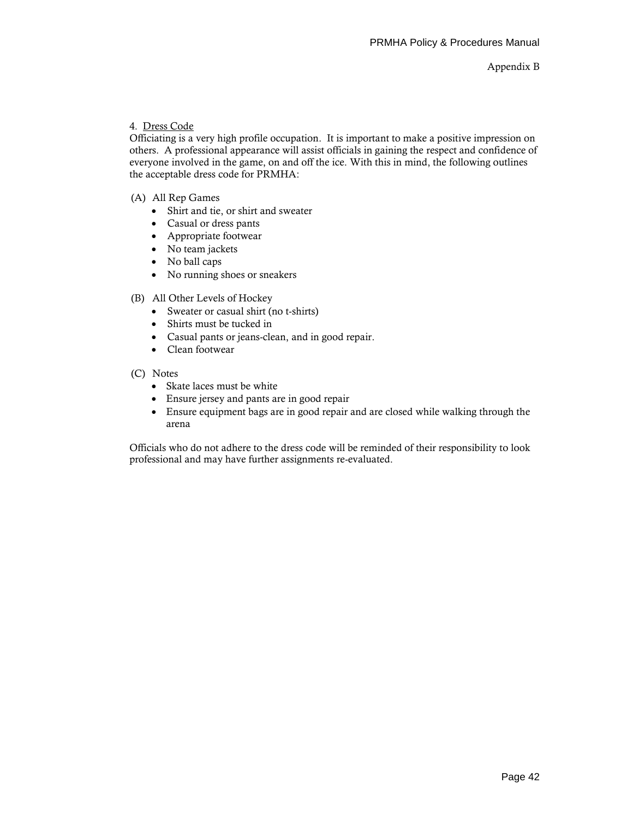#### 4. Dress Code

Officiating is a very high profile occupation. It is important to make a positive impression on others. A professional appearance will assist officials in gaining the respect and confidence of everyone involved in the game, on and off the ice. With this in mind, the following outlines the acceptable dress code for PRMHA:

- (A) All Rep Games
	- Shirt and tie, or shirt and sweater
	- Casual or dress pants
	- Appropriate footwear
	- No team jackets
	- No ball caps
	- No running shoes or sneakers
- (B) All Other Levels of Hockey
	- Sweater or casual shirt (no t-shirts)
	- Shirts must be tucked in
	- Casual pants or jeans-clean, and in good repair.
	- Clean footwear
- (C) Notes
	- Skate laces must be white
	- Ensure jersey and pants are in good repair
	- Ensure equipment bags are in good repair and are closed while walking through the arena

Officials who do not adhere to the dress code will be reminded of their responsibility to look professional and may have further assignments re-evaluated.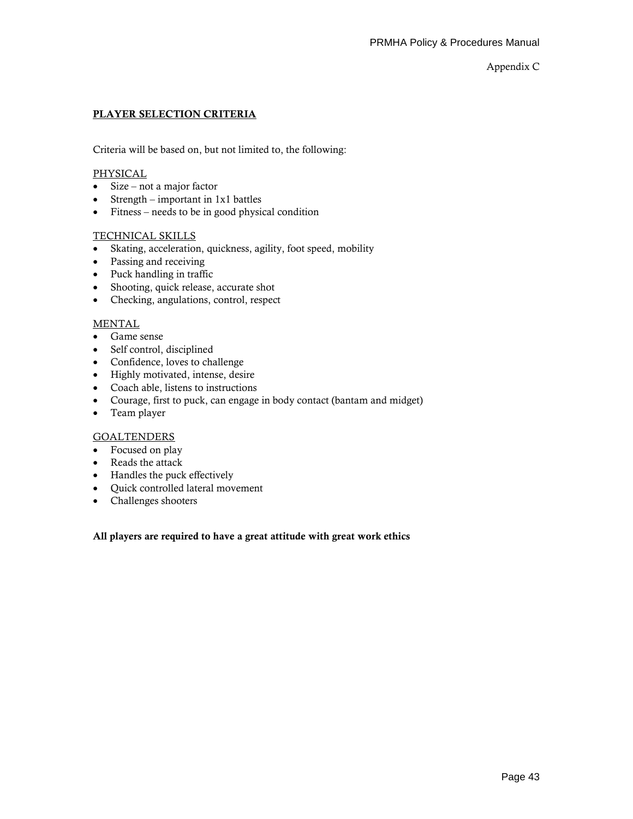Appendix C

#### **PLAYER SELECTION CRITERIA**

Criteria will be based on, but not limited to, the following:

#### **PHYSICAL**

- Size not a major factor
- Strength important in 1x1 battles
- Fitness needs to be in good physical condition

#### TECHNICAL SKILLS

- Skating, acceleration, quickness, agility, foot speed, mobility
- Passing and receiving
- Puck handling in traffic
- Shooting, quick release, accurate shot
- Checking, angulations, control, respect

#### **MENTAL**

- Game sense
- Self control, disciplined
- Confidence, loves to challenge
- Highly motivated, intense, desire
- Coach able, listens to instructions
- Courage, first to puck, can engage in body contact (bantam and midget)
- Team player

#### **GOALTENDERS**

- Focused on play
- Reads the attack
- Handles the puck effectively
- Quick controlled lateral movement
- Challenges shooters

#### **All players are required to have a great attitude with great work ethics**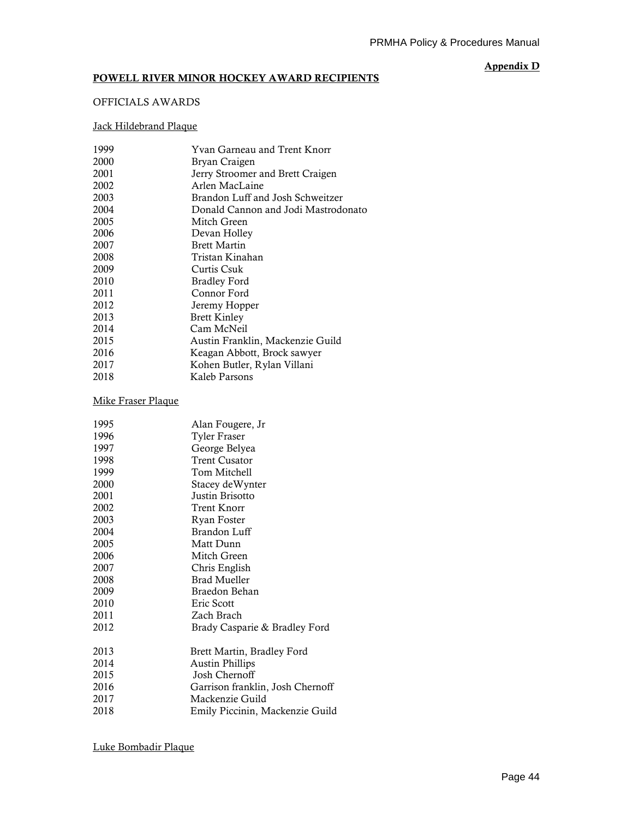#### **POWELL RIVER MINOR HOCKEY AWARD RECIPIENTS**

#### **Appendix D**

## OFFICIALS AWARDS

# Jack Hildebrand Plaque

| 1999 | Yvan Garneau and Trent Knorr        |
|------|-------------------------------------|
| 2000 | Bryan Craigen                       |
| 2001 | Jerry Stroomer and Brett Craigen    |
| 2002 | Arlen MacLaine                      |
| 2003 | Brandon Luff and Josh Schweitzer    |
| 2004 | Donald Cannon and Jodi Mastrodonato |
| 2005 | Mitch Green                         |
| 2006 | Devan Holley                        |
| 2007 | <b>Brett Martin</b>                 |
| 2008 | Tristan Kinahan                     |
| 2009 | Curtis Csuk                         |
| 2010 | <b>Bradley Ford</b>                 |
| 2011 | Connor Ford                         |
| 2012 | Jeremy Hopper                       |
| 2013 | <b>Brett Kinley</b>                 |
| 2014 | Cam McNeil                          |
| 2015 | Austin Franklin, Mackenzie Guild    |
| 2016 | Keagan Abbott, Brock sawyer         |
| 2017 | Kohen Butler, Rylan Villani         |
| 2018 | Kaleb Parsons                       |
|      |                                     |

# Mike Fraser Plaque

| 1995 | Alan Fougere, Jr                 |
|------|----------------------------------|
| 1996 | <b>Tyler Fraser</b>              |
| 1997 | George Belyea                    |
| 1998 | <b>Trent Cusator</b>             |
| 1999 | Tom Mitchell                     |
| 2000 | Stacey deWynter                  |
| 2001 | Justin Brisotto                  |
| 2002 | Trent Knorr                      |
| 2003 | Ryan Foster                      |
| 2004 | Brandon Luff                     |
| 2005 | Matt Dunn                        |
| 2006 | Mitch Green                      |
| 2007 | Chris English                    |
| 2008 | <b>Brad Mueller</b>              |
| 2009 | Braedon Behan                    |
| 2010 | Eric Scott                       |
| 2011 | Zach Brach                       |
| 2012 | Brady Casparie & Bradley Ford    |
| 2013 | Brett Martin, Bradley Ford       |
| 2014 | <b>Austin Phillips</b>           |
| 2015 | Josh Chernoff                    |
| 2016 | Garrison franklin, Josh Chernoff |
| 2017 | Mackenzie Guild                  |
| 2018 | Emily Piccinin, Mackenzie Guild  |
|      |                                  |

Luke Bombadir Plaque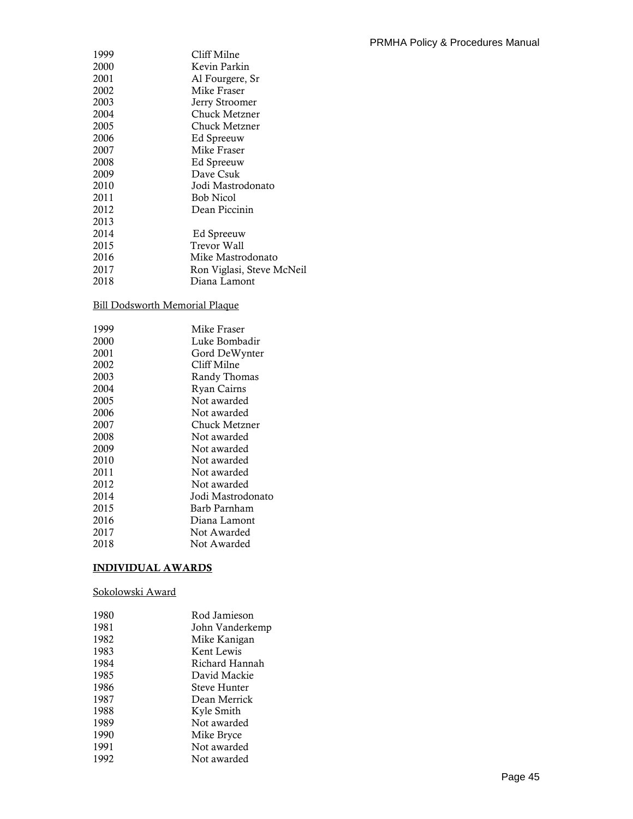| 1999 | Cliff Milne               |
|------|---------------------------|
| 2000 | Kevin Parkin              |
| 2001 | Al Fourgere, Sr           |
| 2002 | Mike Fraser               |
| 2003 | Jerry Stroomer            |
| 2004 | Chuck Metzner             |
| 2005 | Chuck Metzner             |
| 2006 | Ed Spreeuw                |
| 2007 | Mike Fraser               |
| 2008 | Ed Spreeuw                |
| 2009 | Dave Csuk                 |
| 2010 | Jodi Mastrodonato         |
| 2011 | <b>Bob Nicol</b>          |
| 2012 | Dean Piccinin             |
| 2013 |                           |
| 2014 | Ed Spreeuw                |
| 2015 | Trevor Wall               |
| 2016 | Mike Mastrodonato         |
| 2017 | Ron Viglasi, Steve McNeil |
| 2018 | Diana Lamont              |

# Bill Dodsworth Memorial Plaque

| 1999 | Mike Fraser       |
|------|-------------------|
| 2000 | Luke Bombadir     |
| 2001 | Gord DeWynter     |
| 2002 | Cliff Milne       |
| 2003 | Randy Thomas      |
| 2004 | Ryan Cairns       |
| 2005 | Not awarded       |
| 2006 | Not awarded       |
| 2007 | Chuck Metzner     |
| 2008 | Not awarded       |
| 2009 | Not awarded       |
| 2010 | Not awarded       |
| 2011 | Not awarded       |
| 2012 | Not awarded       |
| 2014 | Jodi Mastrodonato |
| 2015 | Barb Parnham      |
| 2016 | Diana Lamont      |
| 2017 | Not Awarded       |
| 2018 | Not Awarded       |
|      |                   |

# **INDIVIDUAL AWARDS**

#### Sokolowski Award

| 1980 | Rod Jamieson    |
|------|-----------------|
| 1981 | John Vanderkemp |
| 1982 | Mike Kanigan    |
| 1983 | Kent Lewis      |
| 1984 | Richard Hannah  |
| 1985 | David Mackie    |
| 1986 | Steve Hunter    |
| 1987 | Dean Merrick    |
| 1988 | Kyle Smith      |
| 1989 | Not awarded     |
| 1990 | Mike Bryce      |
| 1991 | Not awarded     |
| 1992 | Not awarded     |
|      |                 |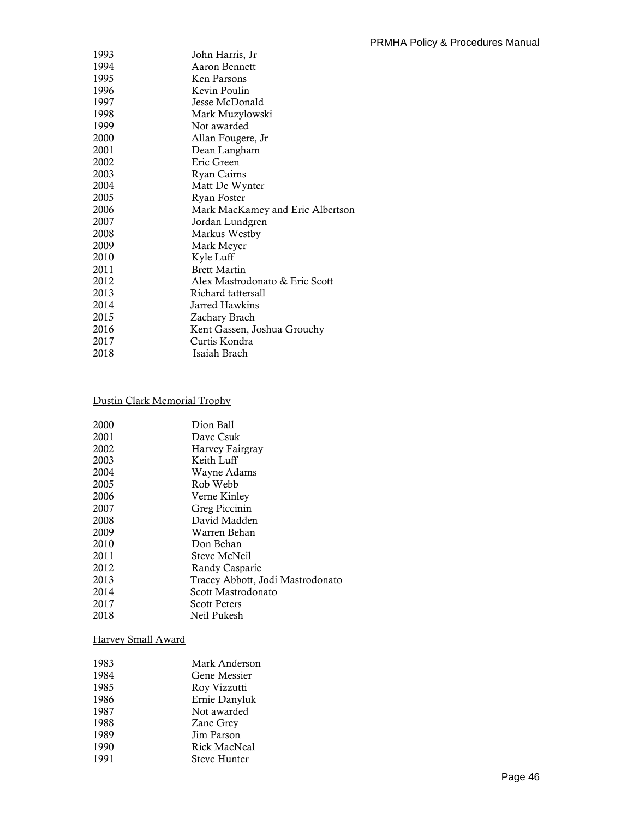| 1993 | John Harris, Jr                  |
|------|----------------------------------|
| 1994 | Aaron Bennett                    |
| 1995 | Ken Parsons                      |
| 1996 | Kevin Poulin                     |
| 1997 | Jesse McDonald                   |
| 1998 | Mark Muzylowski                  |
| 1999 | Not awarded                      |
| 2000 | Allan Fougere, Jr                |
| 2001 | Dean Langham                     |
| 2002 | Eric Green                       |
| 2003 | Ryan Cairns                      |
| 2004 | Matt De Wynter                   |
| 2005 | Ryan Foster                      |
| 2006 | Mark MacKamey and Eric Albertson |
| 2007 | Jordan Lundgren                  |
| 2008 | Markus Westby                    |
| 2009 | Mark Meyer                       |
| 2010 | Kyle Luff                        |
| 2011 | <b>Brett Martin</b>              |
| 2012 | Alex Mastrodonato & Eric Scott   |
| 2013 | Richard tattersall               |
| 2014 | Jarred Hawkins                   |
| 2015 | Zachary Brach                    |
| 2016 | Kent Gassen, Joshua Grouchy      |
| 2017 | Curtis Kondra                    |
| 2018 | Isaiah Brach                     |
|      |                                  |

# Dustin Clark Memorial Trophy

| 2000 | Dion Ball                        |
|------|----------------------------------|
| 2001 | Dave Csuk                        |
| 2002 | Harvey Fairgray                  |
| 2003 | Keith Luff                       |
| 2004 | Wayne Adams                      |
| 2005 | Rob Webb                         |
| 2006 | Verne Kinley                     |
| 2007 | Greg Piccinin                    |
| 2008 | David Madden                     |
| 2009 | Warren Behan                     |
| 2010 | Don Behan                        |
| 2011 | Steve McNeil                     |
| 2012 | Randy Casparie                   |
| 2013 | Tracey Abbott, Jodi Mastrodonato |
| 2014 | Scott Mastrodonato               |
| 2017 | <b>Scott Peters</b>              |
| 2018 | Neil Pukesh                      |
|      |                                  |

# Harvey Small Award

| 1983 | Mark Anderson       |
|------|---------------------|
| 1984 | Gene Messier        |
| 1985 | Roy Vizzutti        |
| 1986 | Ernie Danyluk       |
| 1987 | Not awarded         |
| 1988 | Zane Grey           |
| 1989 | Jim Parson          |
| 1990 | Rick MacNeal        |
| 1991 | <b>Steve Hunter</b> |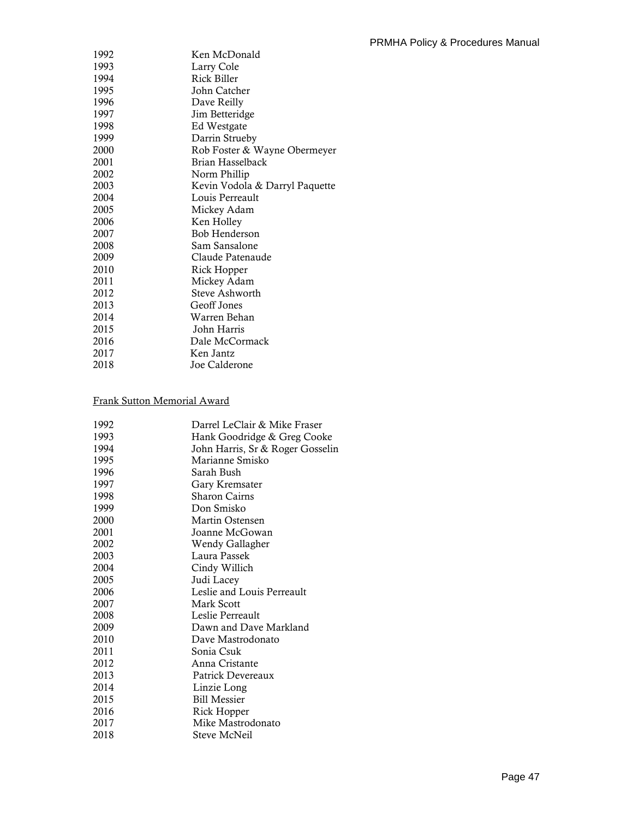| 1992 | Ken McDonald                   |
|------|--------------------------------|
| 1993 | Larry Cole                     |
| 1994 | Rick Biller                    |
| 1995 | John Catcher                   |
| 1996 | Dave Reilly                    |
| 1997 | Jim Betteridge                 |
| 1998 | Ed Westgate                    |
| 1999 | Darrin Strueby                 |
| 2000 | Rob Foster & Wayne Obermeyer   |
| 2001 | Brian Hasselback               |
| 2002 | Norm Phillip                   |
| 2003 | Kevin Vodola & Darryl Paquette |
| 2004 | Louis Perreault                |
| 2005 | Mickey Adam                    |
| 2006 | Ken Holley                     |
| 2007 | <b>Bob Henderson</b>           |
| 2008 | Sam Sansalone                  |
| 2009 | Claude Patenaude               |
| 2010 | Rick Hopper                    |
| 2011 | Mickey Adam                    |
| 2012 | Steve Ashworth                 |
| 2013 | Geoff Jones                    |
| 2014 | Warren Behan                   |
| 2015 | John Harris                    |
| 2016 | Dale McCormack                 |
| 2017 | Ken Jantz                      |
| 2018 | Joe Calderone                  |
|      |                                |

# Frank Sutton Memorial Award

| 1992 | Darrel LeClair & Mike Fraser     |
|------|----------------------------------|
| 1993 | Hank Goodridge & Greg Cooke      |
| 1994 | John Harris, Sr & Roger Gosselin |
| 1995 | Marianne Smisko                  |
| 1996 | Sarah Bush                       |
| 1997 | Gary Kremsater                   |
| 1998 | Sharon Cairns                    |
| 1999 | Don Smisko                       |
| 2000 | Martin Ostensen                  |
| 2001 | Joanne McGowan                   |
| 2002 | Wendy Gallagher                  |
| 2003 | Laura Passek                     |
| 2004 | Cindy Willich                    |
| 2005 | Judi Lacey                       |
| 2006 | Leslie and Louis Perreault       |
| 2007 | Mark Scott                       |
| 2008 | Leslie Perreault                 |
| 2009 | Dawn and Dave Markland           |
| 2010 | Dave Mastrodonato                |
| 2011 | Sonia Csuk                       |
| 2012 | Anna Cristante                   |
| 2013 | Patrick Devereaux                |
| 2014 | Linzie Long                      |
| 2015 | <b>Bill Messier</b>              |
| 2016 | Rick Hopper                      |
| 2017 | Mike Mastrodonato                |
| 2018 | Steve McNeil                     |
|      |                                  |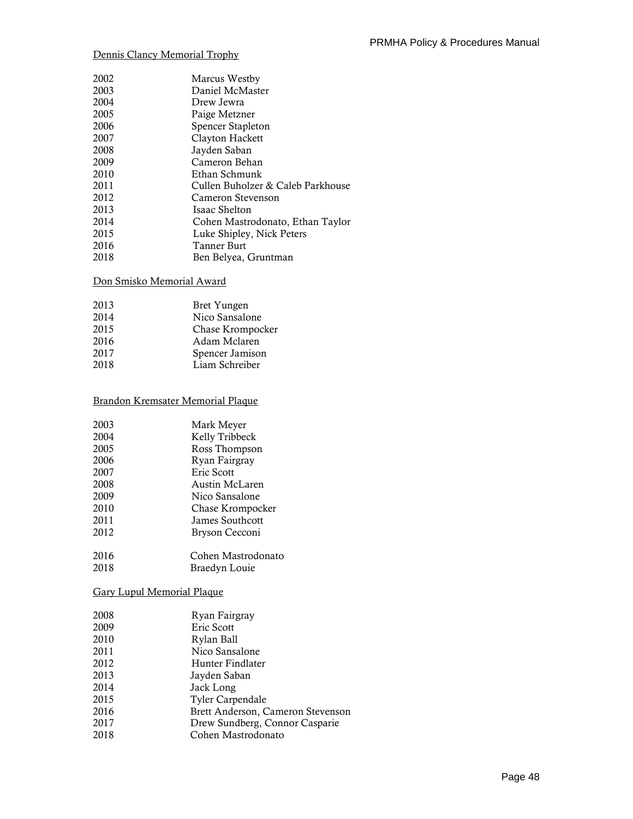# Dennis Clancy Memorial Trophy

| Marcus Westby                     |
|-----------------------------------|
| Daniel McMaster                   |
| Drew Jewra                        |
| Paige Metzner                     |
| Spencer Stapleton                 |
| Clayton Hackett                   |
| Jayden Saban                      |
| Cameron Behan                     |
| Ethan Schmunk                     |
| Cullen Buholzer & Caleb Parkhouse |
| Cameron Stevenson                 |
| Isaac Shelton                     |
| Cohen Mastrodonato, Ethan Taylor  |
| Luke Shipley, Nick Peters         |
| Tanner Burt                       |
| Ben Belyea, Gruntman              |
|                                   |

# Don Smisko Memorial Award

| 2013 | Bret Yungen      |
|------|------------------|
| 2014 | Nico Sansalone   |
| 2015 | Chase Krompocker |
| 2016 | Adam Mclaren     |
| 2017 | Spencer Jamison  |
| 2018 | Liam Schreiber   |
|      |                  |

# Brandon Kremsater Memorial Plaque

| Mark Meyer         |
|--------------------|
| Kelly Tribbeck     |
| Ross Thompson      |
| Ryan Fairgray      |
| Eric Scott         |
| Austin McLaren     |
| Nico Sansalone     |
| Chase Krompocker   |
| James Southcott    |
| Bryson Cecconi     |
| Cohen Mastrodonato |
| Braedyn Louie      |
|                    |

# Gary Lupul Memorial Plaque

| 2008 | Ryan Fairgray                     |
|------|-----------------------------------|
| 2009 | Eric Scott                        |
| 2010 | Rylan Ball                        |
| 2011 | Nico Sansalone                    |
| 2012 | Hunter Findlater                  |
| 2013 | Jayden Saban                      |
| 2014 | Jack Long                         |
| 2015 | <b>Tyler Carpendale</b>           |
| 2016 | Brett Anderson, Cameron Stevenson |
| 2017 | Drew Sundberg, Connor Casparie    |
| 2018 | Cohen Mastrodonato                |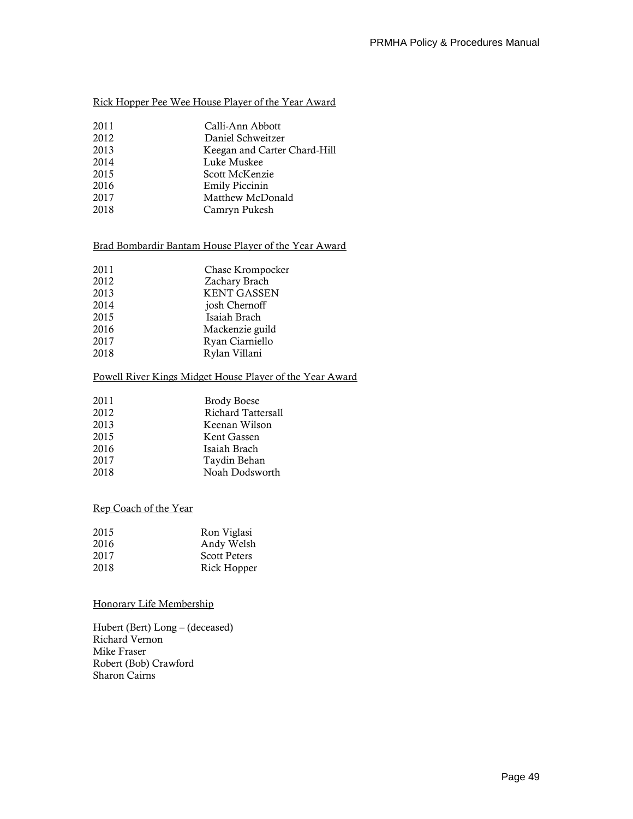# Rick Hopper Pee Wee House Player of the Year Award

- 2011 Calli-Ann Abbott<br>2012 Daniel Schweitzer
- Daniel Schweitzer 2013 Keegan and Carter Chard-Hill
- 2014 Luke Muskee
- 2015 Scott McKenzie
- 2016 Emily Piccinin
- 2017 Matthew McDonald
- 2018 Camryn Pukesh

# Brad Bombardir Bantam House Player of the Year Award

| 2011 | Chase Krompocker   |
|------|--------------------|
| 2012 | Zachary Brach      |
| 2013 | <b>KENT GASSEN</b> |
| 2014 | josh Chernoff      |
| 2015 | Isaiah Brach       |
| 2016 | Mackenzie guild    |
| 2017 | Ryan Ciarniello    |
| 2018 | Rylan Villani      |
|      |                    |

#### Powell River Kings Midget House Player of the Year Award

| <b>Brody Boese</b> |
|--------------------|
| Richard Tattersall |
| Keenan Wilson      |
| Kent Gassen        |
| Isaiah Brach       |
| Taydin Behan       |
| Noah Dodsworth     |
|                    |

#### Rep Coach of the Year

| Ron Viglasi         |
|---------------------|
| Andy Welsh          |
| <b>Scott Peters</b> |
| Rick Hopper         |
|                     |

#### Honorary Life Membership

Hubert (Bert) Long – (deceased) Richard Vernon Mike Fraser Robert (Bob) Crawford Sharon Cairns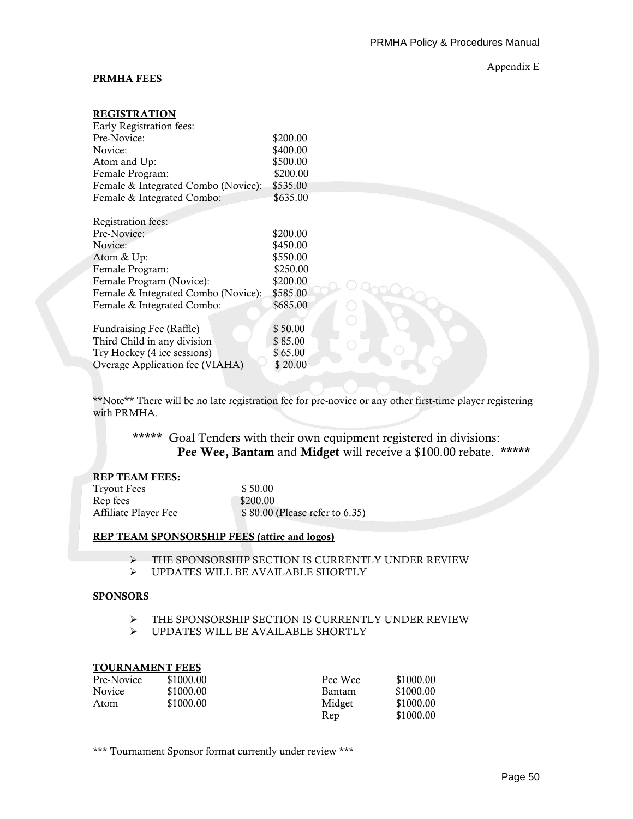#### **PRMHA FEES**

#### Appendix E

# **REGISTRATION**

| Early Registration fees:            |          |
|-------------------------------------|----------|
| Pre-Novice:                         | \$200.00 |
| Novice:                             | \$400.00 |
| Atom and Up:                        | \$500.00 |
| Female Program:                     | \$200.00 |
| Female & Integrated Combo (Novice): | \$535.00 |
| Female & Integrated Combo:          | \$635.00 |
| Registration fees:                  |          |
| Pre-Novice:                         | \$200.00 |
| Novice:                             | \$450.00 |
| Atom & Up:                          | \$550.00 |
| Female Program:                     | \$250.00 |
| Female Program (Novice):            | \$200.00 |
| Female & Integrated Combo (Novice): | \$585.00 |
| Female & Integrated Combo:          | \$685.00 |
| Fundraising Fee (Raffle)            | \$50.00  |
| Third Child in any division         | \$85.00  |
| Try Hockey (4 ice sessions)         | \$65.00  |
| Overage Application fee (VIAHA)     | \$20.00  |

\*\*Note\*\* There will be no late registration fee for pre-novice or any other first-time player registering with PRMHA.

**\*\*\*\*\*** Goal Tenders with their own equipment registered in divisions: **Pee Wee, Bantam** and **Midget** will receive a \$100.00 rebate. **\*\*\*\*\***

#### **REP TEAM FEES:**

| Tryout Fees          | \$50.00                         |
|----------------------|---------------------------------|
| Rep fees             | \$200.00                        |
| Affiliate Player Fee | \$ 80.00 (Please refer to 6.35) |

#### **REP TEAM SPONSORSHIP FEES (attire and logos)**

- ➢ THE SPONSORSHIP SECTION IS CURRENTLY UNDER REVIEW
- ➢ UPDATES WILL BE AVAILABLE SHORTLY

#### **SPONSORS**

- ➢ THE SPONSORSHIP SECTION IS CURRENTLY UNDER REVIEW
- ➢ UPDATES WILL BE AVAILABLE SHORTLY

#### **TOURNAMENT FEES**

| Pre-Novice    | \$1000.00 | Pee Wee | \$1000.00 |
|---------------|-----------|---------|-----------|
| <b>Novice</b> | \$1000.00 | Bantam  | \$1000.00 |
| Atom          | \$1000.00 | Midget  | \$1000.00 |
|               |           | Rep     | \$1000.00 |

\*\*\* Tournament Sponsor format currently under review \*\*\*